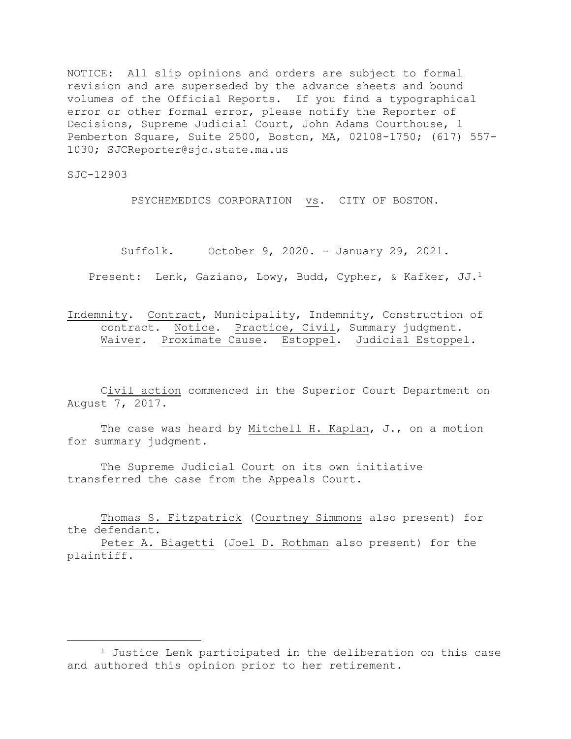NOTICE: All slip opinions and orders are subject to formal revision and are superseded by the advance sheets and bound volumes of the Official Reports. If you find a typographical error or other formal error, please notify the Reporter of Decisions, Supreme Judicial Court, John Adams Courthouse, 1 Pemberton Square, Suite 2500, Boston, MA, 02108-1750; (617) 557- 1030; SJCReporter@sjc.state.ma.us

SJC-12903

a<br>B

PSYCHEMEDICS CORPORATION vs. CITY OF BOSTON.

Suffolk. October 9, 2020. - January 29, 2021.

Present: Lenk, Gaziano, Lowy, Budd, Cypher, & Kafker, JJ.<sup>1</sup>

Indemnity. Contract, Municipality, Indemnity, Construction of contract. Notice. Practice, Civil, Summary judgment. Waiver. Proximate Cause. Estoppel. Judicial Estoppel.

Civil action commenced in the Superior Court Department on August 7, 2017.

The case was heard by Mitchell H. Kaplan, J., on a motion for summary judgment.

The Supreme Judicial Court on its own initiative transferred the case from the Appeals Court.

Thomas S. Fitzpatrick (Courtney Simmons also present) for the defendant.

Peter A. Biagetti (Joel D. Rothman also present) for the plaintiff.

<sup>&</sup>lt;sup>1</sup> Justice Lenk participated in the deliberation on this case and authored this opinion prior to her retirement.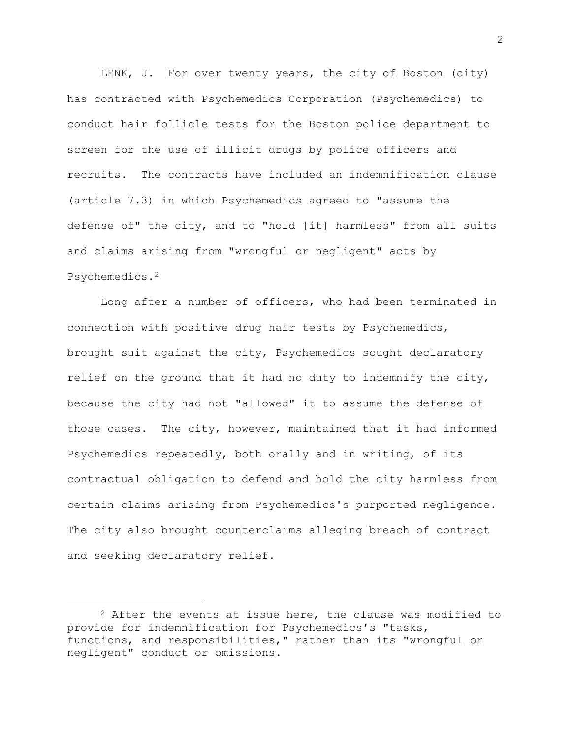LENK, J. For over twenty years, the city of Boston (city) has contracted with Psychemedics Corporation (Psychemedics) to conduct hair follicle tests for the Boston police department to screen for the use of illicit drugs by police officers and recruits. The contracts have included an indemnification clause (article 7.3) in which Psychemedics agreed to "assume the defense of" the city, and to "hold [it] harmless" from all suits and claims arising from "wrongful or negligent" acts by Psychemedics.<sup>2</sup>

Long after a number of officers, who had been terminated in connection with positive drug hair tests by Psychemedics, brought suit against the city, Psychemedics sought declaratory relief on the ground that it had no duty to indemnify the city, because the city had not "allowed" it to assume the defense of those cases. The city, however, maintained that it had informed Psychemedics repeatedly, both orally and in writing, of its contractual obligation to defend and hold the city harmless from certain claims arising from Psychemedics's purported negligence. The city also brought counterclaims alleging breach of contract and seeking declaratory relief.

 $2$  After the events at issue here, the clause was modified to provide for indemnification for Psychemedics's "tasks, functions, and responsibilities," rather than its "wrongful or negligent" conduct or omissions.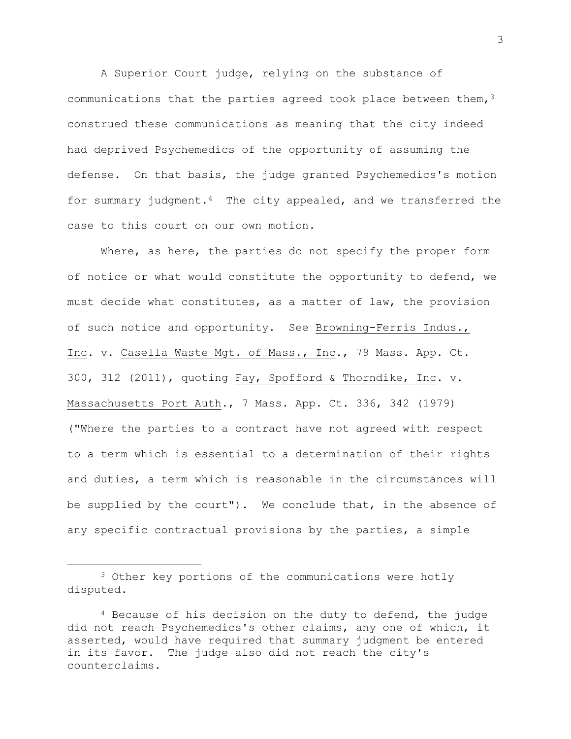A Superior Court judge, relying on the substance of communications that the parties agreed took place between them,  $3$ construed these communications as meaning that the city indeed had deprived Psychemedics of the opportunity of assuming the defense. On that basis, the judge granted Psychemedics's motion for summary judgment. $4$  The city appealed, and we transferred the case to this court on our own motion.

Where, as here, the parties do not specify the proper form of notice or what would constitute the opportunity to defend, we must decide what constitutes, as a matter of law, the provision of such notice and opportunity. See Browning-Ferris Indus., Inc. v. Casella Waste Mgt. of Mass., Inc., 79 Mass. App. Ct. 300, 312 (2011), quoting Fay, Spofford & Thorndike, Inc. v. Massachusetts Port Auth., 7 Mass. App. Ct. 336, 342 (1979) ("Where the parties to a contract have not agreed with respect to a term which is essential to a determination of their rights and duties, a term which is reasonable in the circumstances will be supplied by the court"). We conclude that, in the absence of any specific contractual provisions by the parties, a simple

<sup>&</sup>lt;sup>3</sup> Other key portions of the communications were hotly disputed.

 $4$  Because of his decision on the duty to defend, the judge did not reach Psychemedics's other claims, any one of which, it asserted, would have required that summary judgment be entered in its favor. The judge also did not reach the city's counterclaims.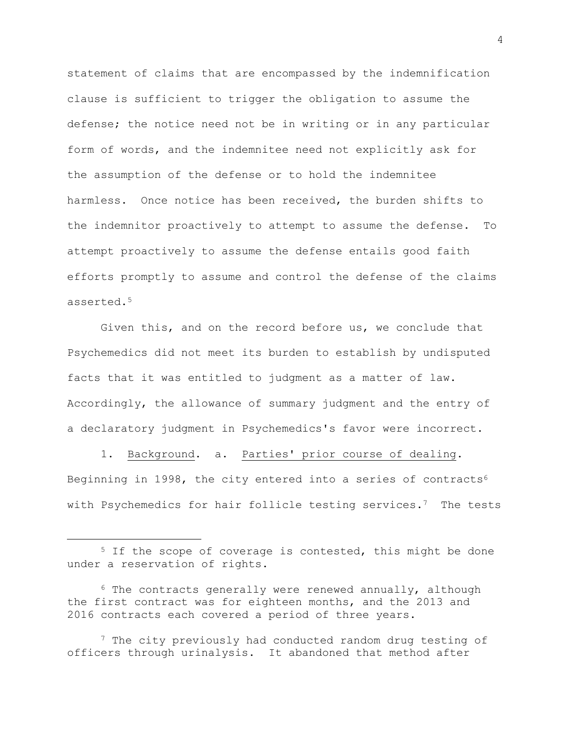statement of claims that are encompassed by the indemnification clause is sufficient to trigger the obligation to assume the defense; the notice need not be in writing or in any particular form of words, and the indemnitee need not explicitly ask for the assumption of the defense or to hold the indemnitee harmless. Once notice has been received, the burden shifts to the indemnitor proactively to attempt to assume the defense. To attempt proactively to assume the defense entails good faith efforts promptly to assume and control the defense of the claims asserted.<sup>5</sup>

Given this, and on the record before us, we conclude that Psychemedics did not meet its burden to establish by undisputed facts that it was entitled to judgment as a matter of law. Accordingly, the allowance of summary judgment and the entry of a declaratory judgment in Psychemedics's favor were incorrect.

1. Background. a. Parties' prior course of dealing. Beginning in 1998, the city entered into a series of contracts<sup>6</sup> with Psychemedics for hair follicle testing services.<sup>7</sup> The tests

<sup>&</sup>lt;sup>5</sup> If the scope of coverage is contested, this might be done under a reservation of rights.

 $6$  The contracts generally were renewed annually, although the first contract was for eighteen months, and the 2013 and 2016 contracts each covered a period of three years.

<sup>&</sup>lt;sup>7</sup> The city previously had conducted random drug testing of officers through urinalysis. It abandoned that method after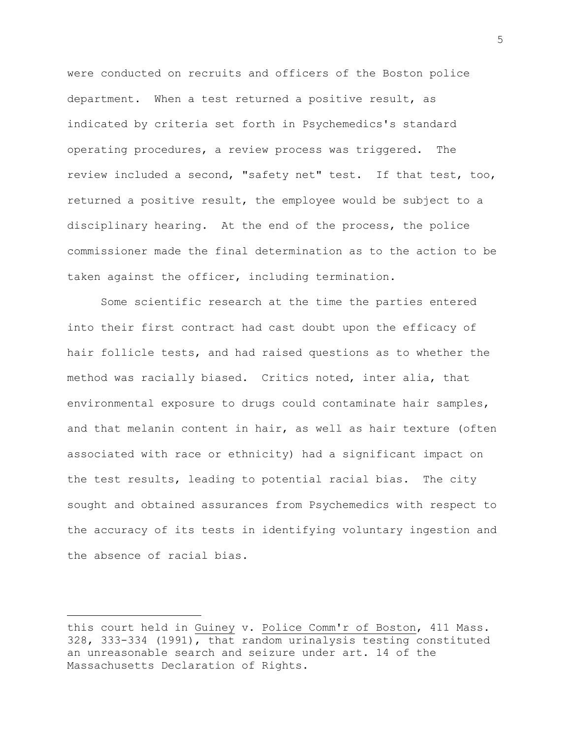were conducted on recruits and officers of the Boston police department. When a test returned a positive result, as indicated by criteria set forth in Psychemedics's standard operating procedures, a review process was triggered. The review included a second, "safety net" test. If that test, too, returned a positive result, the employee would be subject to a disciplinary hearing. At the end of the process, the police commissioner made the final determination as to the action to be taken against the officer, including termination.

Some scientific research at the time the parties entered into their first contract had cast doubt upon the efficacy of hair follicle tests, and had raised questions as to whether the method was racially biased. Critics noted, inter alia, that environmental exposure to drugs could contaminate hair samples, and that melanin content in hair, as well as hair texture (often associated with race or ethnicity) had a significant impact on the test results, leading to potential racial bias. The city sought and obtained assurances from Psychemedics with respect to the accuracy of its tests in identifying voluntary ingestion and the absence of racial bias.

this court held in Guiney v. Police Comm'r of Boston, 411 Mass. 328, 333-334 (1991), that random urinalysis testing constituted an unreasonable search and seizure under art. 14 of the Massachusetts Declaration of Rights.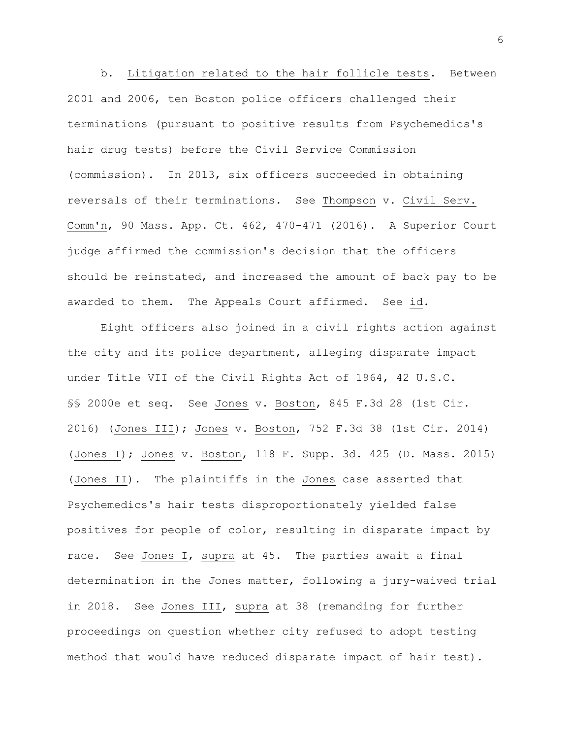b. Litigation related to the hair follicle tests. Between 2001 and 2006, ten Boston police officers challenged their terminations (pursuant to positive results from Psychemedics's hair drug tests) before the Civil Service Commission (commission). In 2013, six officers succeeded in obtaining reversals of their terminations. See Thompson v. Civil Serv. Comm'n, 90 Mass. App. Ct. 462, 470-471 (2016). A Superior Court judge affirmed the commission's decision that the officers should be reinstated, and increased the amount of back pay to be awarded to them. The Appeals Court affirmed. See id.

Eight officers also joined in a civil rights action against the city and its police department, alleging disparate impact under Title VII of the Civil Rights Act of 1964, 42 U.S.C. §§ 2000e et seq. See Jones v. Boston, 845 F.3d 28 (1st Cir. 2016) (Jones III); Jones v. Boston, 752 F.3d 38 (1st Cir. 2014) (Jones I); Jones v. Boston, 118 F. Supp. 3d. 425 (D. Mass. 2015) (Jones II). The plaintiffs in the Jones case asserted that Psychemedics's hair tests disproportionately yielded false positives for people of color, resulting in disparate impact by race. See Jones I, supra at 45. The parties await a final determination in the Jones matter, following a jury-waived trial in 2018. See Jones III, supra at 38 (remanding for further proceedings on question whether city refused to adopt testing method that would have reduced disparate impact of hair test).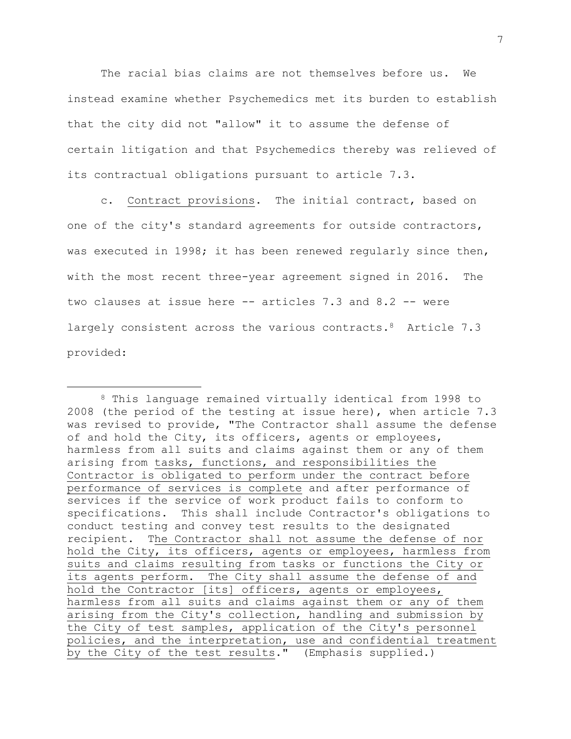The racial bias claims are not themselves before us. We instead examine whether Psychemedics met its burden to establish that the city did not "allow" it to assume the defense of certain litigation and that Psychemedics thereby was relieved of its contractual obligations pursuant to article 7.3.

c. Contract provisions. The initial contract, based on one of the city's standard agreements for outside contractors, was executed in 1998; it has been renewed regularly since then, with the most recent three-year agreement signed in 2016. The two clauses at issue here -- articles 7.3 and 8.2 -- were largely consistent across the various contracts.<sup>8</sup> Article 7.3 provided:

L,

<sup>8</sup> This language remained virtually identical from 1998 to 2008 (the period of the testing at issue here), when article 7.3 was revised to provide, "The Contractor shall assume the defense of and hold the City, its officers, agents or employees, harmless from all suits and claims against them or any of them arising from tasks, functions, and responsibilities the Contractor is obligated to perform under the contract before performance of services is complete and after performance of services if the service of work product fails to conform to specifications. This shall include Contractor's obligations to conduct testing and convey test results to the designated recipient. The Contractor shall not assume the defense of nor hold the City, its officers, agents or employees, harmless from suits and claims resulting from tasks or functions the City or its agents perform. The City shall assume the defense of and hold the Contractor [its] officers, agents or employees, harmless from all suits and claims against them or any of them arising from the City's collection, handling and submission by the City of test samples, application of the City's personnel policies, and the interpretation, use and confidential treatment by the City of the test results." (Emphasis supplied.)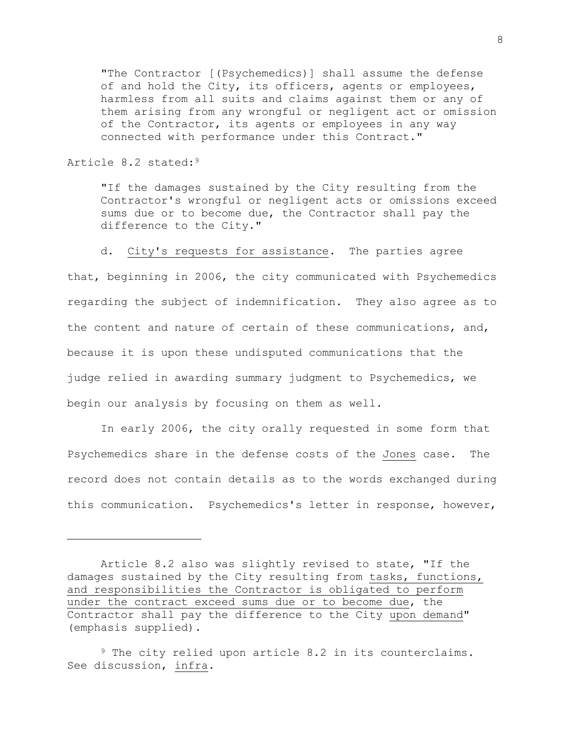"The Contractor [(Psychemedics)] shall assume the defense of and hold the City, its officers, agents or employees, harmless from all suits and claims against them or any of them arising from any wrongful or negligent act or omission of the Contractor, its agents or employees in any way connected with performance under this Contract."

## Article 8.2 stated:<sup>9</sup>

a<br>B

"If the damages sustained by the City resulting from the Contractor's wrongful or negligent acts or omissions exceed sums due or to become due, the Contractor shall pay the difference to the City."

d. City's requests for assistance. The parties agree

that, beginning in 2006, the city communicated with Psychemedics regarding the subject of indemnification. They also agree as to the content and nature of certain of these communications, and, because it is upon these undisputed communications that the judge relied in awarding summary judgment to Psychemedics, we begin our analysis by focusing on them as well.

In early 2006, the city orally requested in some form that Psychemedics share in the defense costs of the Jones case. The record does not contain details as to the words exchanged during this communication. Psychemedics's letter in response, however,

Article 8.2 also was slightly revised to state, "If the damages sustained by the City resulting from tasks, functions, and responsibilities the Contractor is obligated to perform under the contract exceed sums due or to become due, the Contractor shall pay the difference to the City upon demand" (emphasis supplied).

<sup>9</sup> The city relied upon article 8.2 in its counterclaims. See discussion, infra.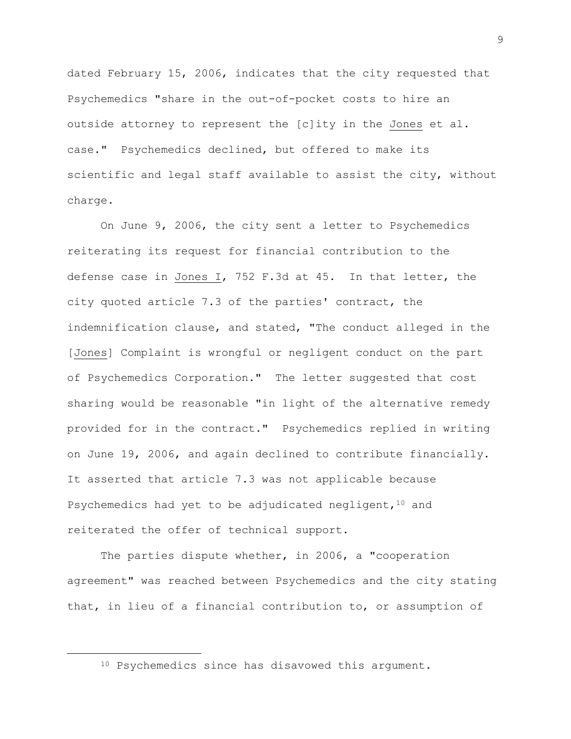dated February 15, 2006, indicates that the city requested that Psychemedics "share in the out-of-pocket costs to hire an outside attorney to represent the [c]ity in the Jones et al. case." Psychemedics declined, but offered to make its scientific and legal staff available to assist the city, without charge.

On June 9, 2006, the city sent a letter to Psychemedics reiterating its request for financial contribution to the defense case in Jones I, 752 F.3d at 45. In that letter, the city quoted article 7.3 of the parties' contract, the indemnification clause, and stated, "The conduct alleged in the [Jones] Complaint is wrongful or negligent conduct on the part of Psychemedics Corporation." The letter suggested that cost sharing would be reasonable "in light of the alternative remedy provided for in the contract." Psychemedics replied in writing on June 19, 2006, and again declined to contribute financially. It asserted that article 7.3 was not applicable because Psychemedics had yet to be adjudicated negligent, <sup>10</sup> and reiterated the offer of technical support.

The parties dispute whether, in 2006, a "cooperation agreement" was reached between Psychemedics and the city stating that, in lieu of a financial contribution to, or assumption of

<sup>&</sup>lt;sup>10</sup> Psychemedics since has disavowed this argument.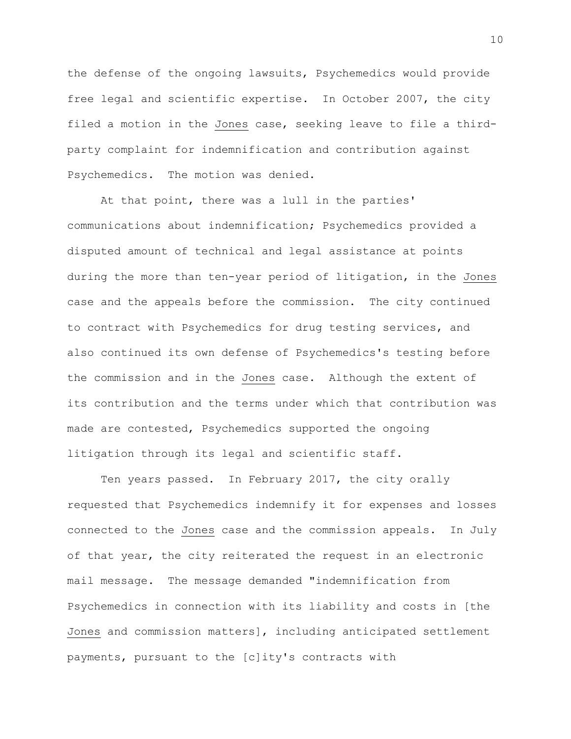the defense of the ongoing lawsuits, Psychemedics would provide free legal and scientific expertise. In October 2007, the city filed a motion in the Jones case, seeking leave to file a thirdparty complaint for indemnification and contribution against Psychemedics. The motion was denied.

At that point, there was a lull in the parties' communications about indemnification; Psychemedics provided a disputed amount of technical and legal assistance at points during the more than ten-year period of litigation, in the Jones case and the appeals before the commission. The city continued to contract with Psychemedics for drug testing services, and also continued its own defense of Psychemedics's testing before the commission and in the Jones case. Although the extent of its contribution and the terms under which that contribution was made are contested, Psychemedics supported the ongoing litigation through its legal and scientific staff**.**

Ten years passed. In February 2017, the city orally requested that Psychemedics indemnify it for expenses and losses connected to the Jones case and the commission appeals. In July of that year, the city reiterated the request in an electronic mail message. The message demanded "indemnification from Psychemedics in connection with its liability and costs in [the Jones and commission matters], including anticipated settlement payments, pursuant to the [c]ity's contracts with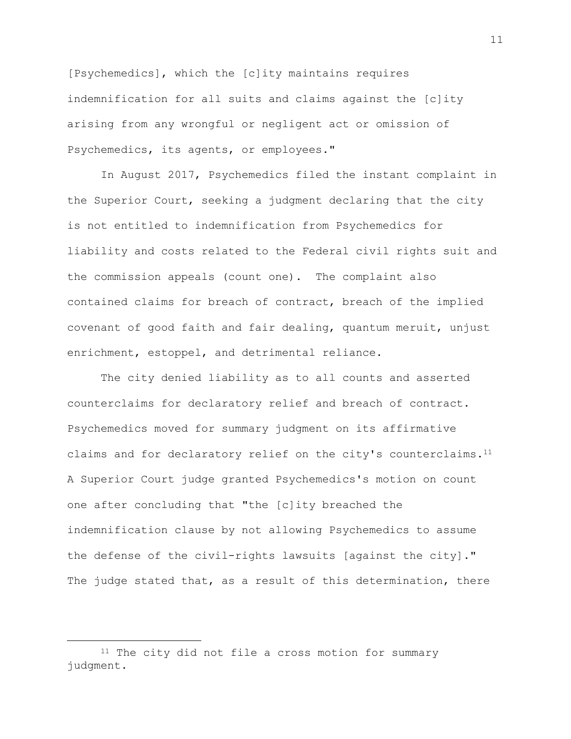[Psychemedics], which the [c]ity maintains requires indemnification for all suits and claims against the [c]ity arising from any wrongful or negligent act or omission of Psychemedics, its agents, or employees."

In August 2017, Psychemedics filed the instant complaint in the Superior Court, seeking a judgment declaring that the city is not entitled to indemnification from Psychemedics for liability and costs related to the Federal civil rights suit and the commission appeals (count one). The complaint also contained claims for breach of contract, breach of the implied covenant of good faith and fair dealing, quantum meruit, unjust enrichment, estoppel, and detrimental reliance.

The city denied liability as to all counts and asserted counterclaims for declaratory relief and breach of contract. Psychemedics moved for summary judgment on its affirmative claims and for declaratory relief on the city's counterclaims.<sup>11</sup> A Superior Court judge granted Psychemedics's motion on count one after concluding that "the [c]ity breached the indemnification clause by not allowing Psychemedics to assume the defense of the civil-rights lawsuits [against the city]." The judge stated that, as a result of this determination, there

<sup>&</sup>lt;sup>11</sup> The city did not file a cross motion for summary judgment.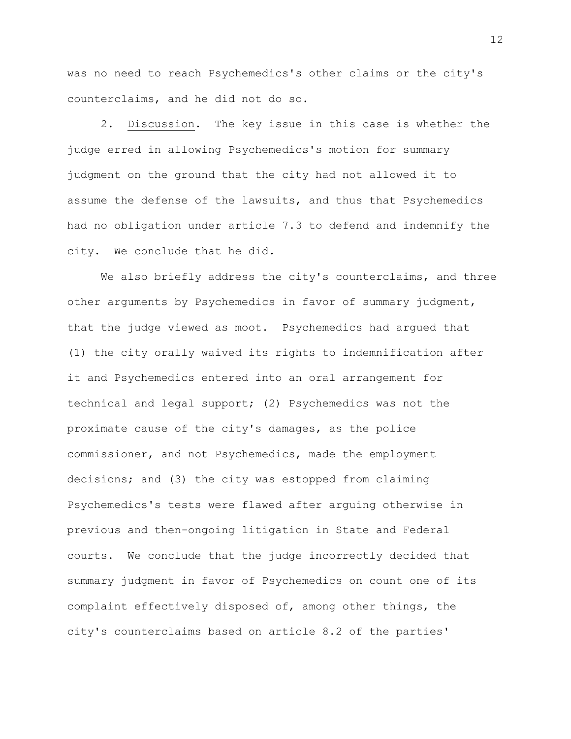was no need to reach Psychemedics's other claims or the city's counterclaims, and he did not do so.

2. Discussion. The key issue in this case is whether the judge erred in allowing Psychemedics's motion for summary judgment on the ground that the city had not allowed it to assume the defense of the lawsuits, and thus that Psychemedics had no obligation under article 7.3 to defend and indemnify the city. We conclude that he did.

We also briefly address the city's counterclaims, and three other arguments by Psychemedics in favor of summary judgment, that the judge viewed as moot. Psychemedics had argued that (1) the city orally waived its rights to indemnification after it and Psychemedics entered into an oral arrangement for technical and legal support; (2) Psychemedics was not the proximate cause of the city's damages, as the police commissioner, and not Psychemedics, made the employment decisions; and (3) the city was estopped from claiming Psychemedics's tests were flawed after arguing otherwise in previous and then-ongoing litigation in State and Federal courts. We conclude that the judge incorrectly decided that summary judgment in favor of Psychemedics on count one of its complaint effectively disposed of, among other things, the city's counterclaims based on article 8.2 of the parties'

12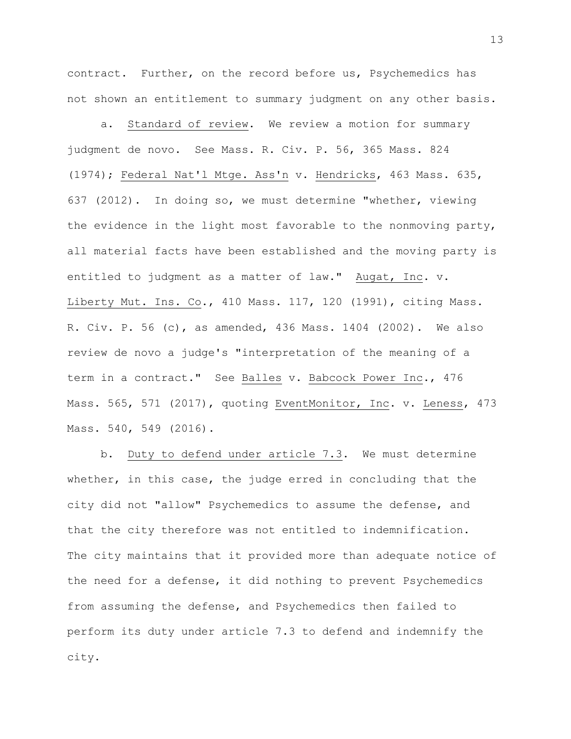contract. Further, on the record before us, Psychemedics has not shown an entitlement to summary judgment on any other basis.

a. Standard of review. We review a motion for summary judgment de novo. See Mass. R. Civ. P. 56, 365 Mass. 824 (1974); Federal Nat'l Mtge. Ass'n v. Hendricks, 463 Mass. 635, 637 (2012). In doing so, we must determine "whether, viewing the evidence in the light most favorable to the nonmoving party, all material facts have been established and the moving party is entitled to judgment as a matter of law." Augat, Inc. v. Liberty Mut. Ins. Co., 410 Mass. 117, 120 (1991), citing Mass. R. Civ. P. 56 (c), as amended, 436 Mass. 1404 (2002). We also review de novo a judge's "interpretation of the meaning of a term in a contract." See Balles v. Babcock Power Inc., 476 Mass. 565, 571 (2017), quoting EventMonitor, Inc. v. Leness, 473 Mass. 540, 549 (2016).

b. Duty to defend under article 7.3. We must determine whether, in this case, the judge erred in concluding that the city did not "allow" Psychemedics to assume the defense, and that the city therefore was not entitled to indemnification. The city maintains that it provided more than adequate notice of the need for a defense, it did nothing to prevent Psychemedics from assuming the defense, and Psychemedics then failed to perform its duty under article 7.3 to defend and indemnify the city.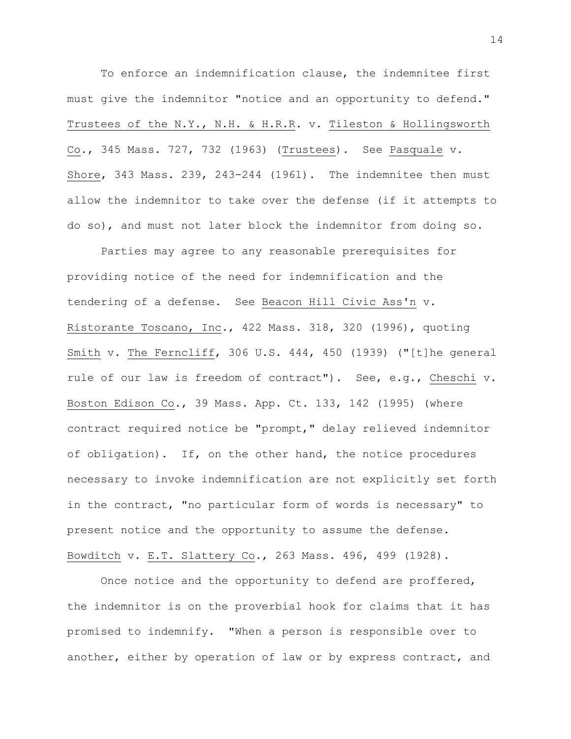To enforce an indemnification clause, the indemnitee first must give the indemnitor "notice and an opportunity to defend." Trustees of the N.Y., N.H. & H.R.R. v. Tileston & Hollingsworth Co., 345 Mass. 727, 732 (1963) (Trustees). See Pasquale v. Shore, 343 Mass. 239, 243-244 (1961). The indemnitee then must allow the indemnitor to take over the defense (if it attempts to do so), and must not later block the indemnitor from doing so.

Parties may agree to any reasonable prerequisites for providing notice of the need for indemnification and the tendering of a defense. See Beacon Hill Civic Ass'n v. Ristorante Toscano, Inc., 422 Mass. 318, 320 (1996), quoting Smith v. The Ferncliff, 306 U.S. 444, 450 (1939) ("[t]he general rule of our law is freedom of contract"). See, e.g., Cheschi v. Boston Edison Co., 39 Mass. App. Ct. 133, 142 (1995) (where contract required notice be "prompt," delay relieved indemnitor of obligation). If, on the other hand, the notice procedures necessary to invoke indemnification are not explicitly set forth in the contract, "no particular form of words is necessary" to present notice and the opportunity to assume the defense. Bowditch v. E.T. Slattery Co., 263 Mass. 496, 499 (1928).

Once notice and the opportunity to defend are proffered, the indemnitor is on the proverbial hook for claims that it has promised to indemnify. "When a person is responsible over to another, either by operation of law or by express contract, and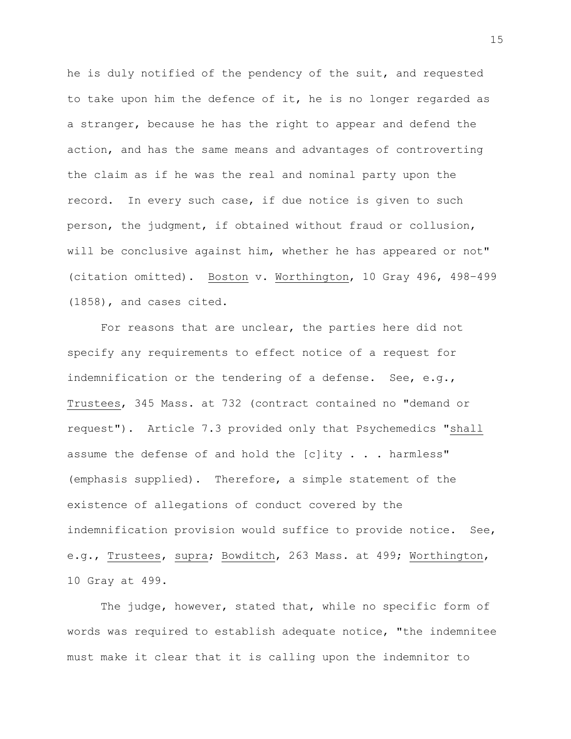he is duly notified of the pendency of the suit, and requested to take upon him the defence of it, he is no longer regarded as a stranger, because he has the right to appear and defend the action, and has the same means and advantages of controverting the claim as if he was the real and nominal party upon the record. In every such case, if due notice is given to such person, the judgment, if obtained without fraud or collusion, will be conclusive against him, whether he has appeared or not" (citation omitted). Boston v. Worthington, 10 Gray 496, 498–499 (1858), and cases cited.

For reasons that are unclear, the parties here did not specify any requirements to effect notice of a request for indemnification or the tendering of a defense. See, e.g., Trustees, 345 Mass. at 732 (contract contained no "demand or request"). Article 7.3 provided only that Psychemedics "shall assume the defense of and hold the [c]ity . . . harmless" (emphasis supplied). Therefore, a simple statement of the existence of allegations of conduct covered by the indemnification provision would suffice to provide notice. See, e.g., Trustees, supra; Bowditch, 263 Mass. at 499; Worthington, 10 Gray at 499.

The judge, however, stated that, while no specific form of words was required to establish adequate notice, "the indemnitee must make it clear that it is calling upon the indemnitor to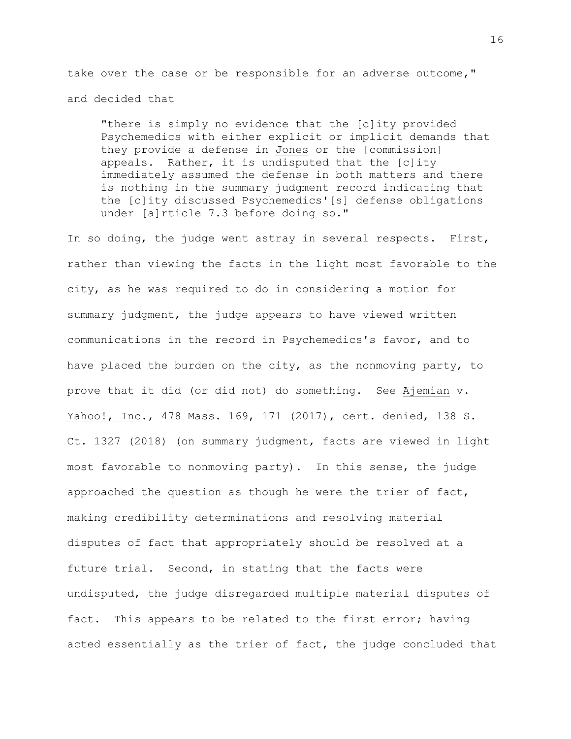take over the case or be responsible for an adverse outcome," and decided that

"there is simply no evidence that the [c]ity provided Psychemedics with either explicit or implicit demands that they provide a defense in Jones or the [commission] appeals. Rather, it is undisputed that the [c]ity immediately assumed the defense in both matters and there is nothing in the summary judgment record indicating that the [c]ity discussed Psychemedics'[s] defense obligations under [a]rticle 7.3 before doing so."

In so doing, the judge went astray in several respects. First, rather than viewing the facts in the light most favorable to the city, as he was required to do in considering a motion for summary judgment, the judge appears to have viewed written communications in the record in Psychemedics's favor, and to have placed the burden on the city, as the nonmoving party, to prove that it did (or did not) do something. See Ajemian v. Yahoo!, Inc., 478 Mass. 169, 171 (2017), cert. denied, 138 S. Ct. 1327 (2018) (on summary judgment, facts are viewed in light most favorable to nonmoving party). In this sense, the judge approached the question as though he were the trier of fact, making credibility determinations and resolving material disputes of fact that appropriately should be resolved at a future trial. Second, in stating that the facts were undisputed, the judge disregarded multiple material disputes of fact. This appears to be related to the first error; having acted essentially as the trier of fact, the judge concluded that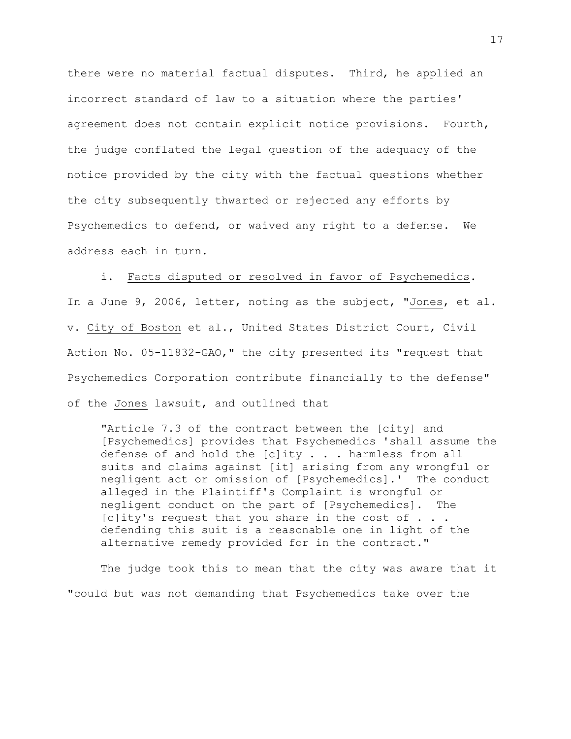there were no material factual disputes. Third, he applied an incorrect standard of law to a situation where the parties' agreement does not contain explicit notice provisions. Fourth, the judge conflated the legal question of the adequacy of the notice provided by the city with the factual questions whether the city subsequently thwarted or rejected any efforts by Psychemedics to defend, or waived any right to a defense. We address each in turn.

i. Facts disputed or resolved in favor of Psychemedics. In a June 9, 2006, letter, noting as the subject, "Jones, et al. v. City of Boston et al., United States District Court, Civil Action No. 05-11832-GAO," the city presented its "request that Psychemedics Corporation contribute financially to the defense" of the Jones lawsuit, and outlined that

"Article 7.3 of the contract between the [city] and [Psychemedics] provides that Psychemedics 'shall assume the defense of and hold the  $[c]$ ity  $\ldots$  harmless from all suits and claims against [it] arising from any wrongful or negligent act or omission of [Psychemedics].' The conduct alleged in the Plaintiff's Complaint is wrongful or negligent conduct on the part of [Psychemedics]. The [c]ity's request that you share in the cost of . . . defending this suit is a reasonable one in light of the alternative remedy provided for in the contract."

The judge took this to mean that the city was aware that it "could but was not demanding that Psychemedics take over the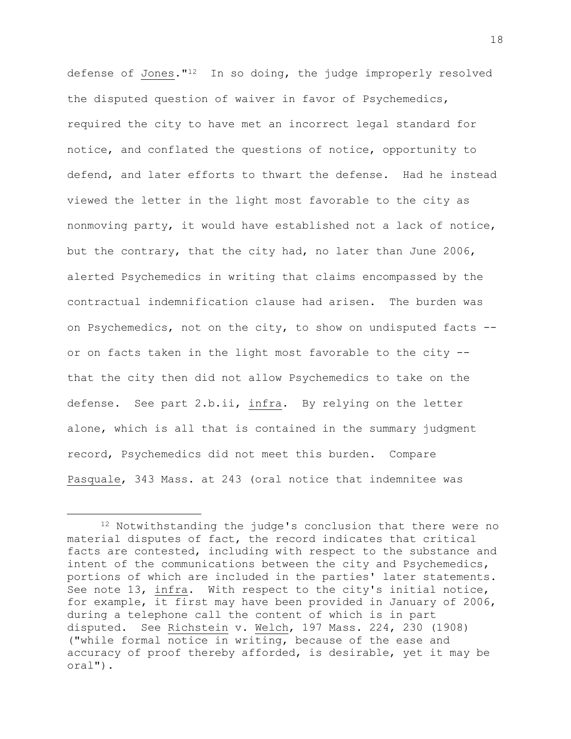defense of Jones."12 In so doing, the judge improperly resolved the disputed question of waiver in favor of Psychemedics, required the city to have met an incorrect legal standard for notice, and conflated the questions of notice, opportunity to defend, and later efforts to thwart the defense. Had he instead viewed the letter in the light most favorable to the city as nonmoving party, it would have established not a lack of notice, but the contrary, that the city had, no later than June 2006, alerted Psychemedics in writing that claims encompassed by the contractual indemnification clause had arisen. The burden was on Psychemedics, not on the city, to show on undisputed facts - or on facts taken in the light most favorable to the city - that the city then did not allow Psychemedics to take on the defense. See part 2.b.ii, infra. By relying on the letter alone, which is all that is contained in the summary judgment record, Psychemedics did not meet this burden. Compare Pasquale, 343 Mass. at 243 (oral notice that indemnitee was

<sup>12</sup> Notwithstanding the judge's conclusion that there were no material disputes of fact, the record indicates that critical facts are contested, including with respect to the substance and intent of the communications between the city and Psychemedics, portions of which are included in the parties' later statements. See note 13, infra. With respect to the city's initial notice, for example, it first may have been provided in January of 2006, during a telephone call the content of which is in part disputed. See Richstein v. Welch, 197 Mass. 224, 230 (1908) ("while formal notice in writing, because of the ease and accuracy of proof thereby afforded, is desirable, yet it may be oral").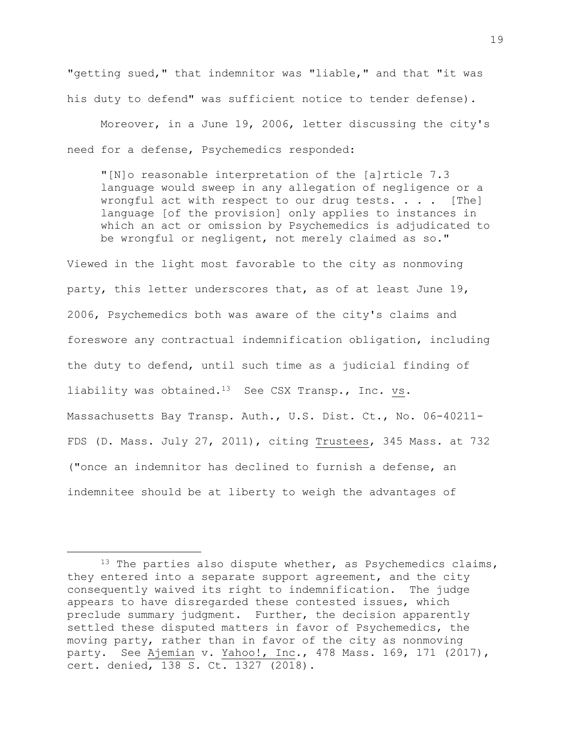"getting sued," that indemnitor was "liable," and that "it was his duty to defend" was sufficient notice to tender defense).

Moreover, in a June 19, 2006, letter discussing the city's need for a defense, Psychemedics responded:

"[N]o reasonable interpretation of the [a]rticle 7.3 language would sweep in any allegation of negligence or a wrongful act with respect to our drug tests. . . . [The] language [of the provision] only applies to instances in which an act or omission by Psychemedics is adjudicated to be wrongful or negligent, not merely claimed as so."

Viewed in the light most favorable to the city as nonmoving party, this letter underscores that, as of at least June 19, 2006, Psychemedics both was aware of the city's claims and foreswore any contractual indemnification obligation, including the duty to defend, until such time as a judicial finding of liability was obtained.13 See CSX Transp., Inc. vs. Massachusetts Bay Transp. Auth., U.S. Dist. Ct., No. 06-40211- FDS (D. Mass. July 27, 2011), citing Trustees, 345 Mass. at 732 ("once an indemnitor has declined to furnish a defense, an indemnitee should be at liberty to weigh the advantages of

 $13$  The parties also dispute whether, as Psychemedics claims, they entered into a separate support agreement, and the city consequently waived its right to indemnification. The judge appears to have disregarded these contested issues, which preclude summary judgment. Further, the decision apparently settled these disputed matters in favor of Psychemedics, the moving party, rather than in favor of the city as nonmoving party. See Ajemian v. Yahoo!, Inc., 478 Mass. 169, 171 (2017), cert. denied, 138 S. Ct. 1327 (2018).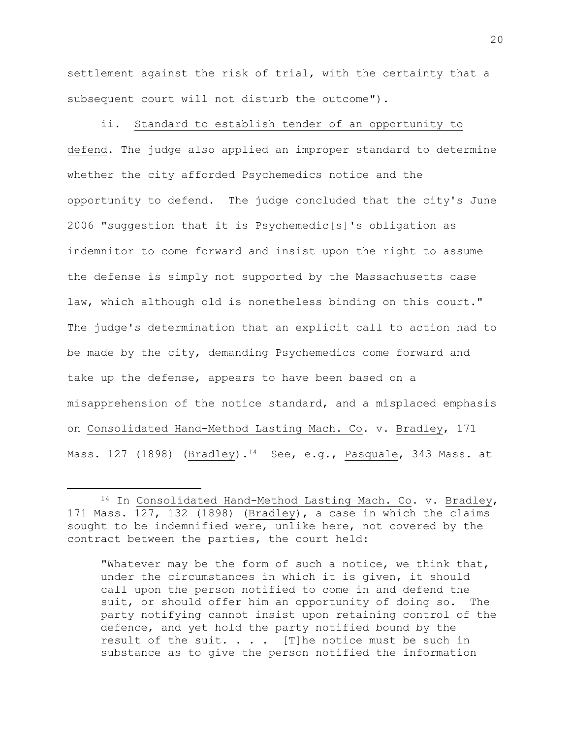settlement against the risk of trial, with the certainty that a subsequent court will not disturb the outcome").

ii. Standard to establish tender of an opportunity to defend. The judge also applied an improper standard to determine whether the city afforded Psychemedics notice and the opportunity to defend. The judge concluded that the city's June 2006 "suggestion that it is Psychemedic[s]'s obligation as indemnitor to come forward and insist upon the right to assume the defense is simply not supported by the Massachusetts case law, which although old is nonetheless binding on this court." The judge's determination that an explicit call to action had to be made by the city, demanding Psychemedics come forward and take up the defense, appears to have been based on a misapprehension of the notice standard, and a misplaced emphasis on Consolidated Hand-Method Lasting Mach. Co. v. Bradley, 171 Mass. 127 (1898) (Bradley).<sup>14</sup> See, e.g., Pasquale, 343 Mass. at

L,

"Whatever may be the form of such a notice, we think that, under the circumstances in which it is given, it should call upon the person notified to come in and defend the suit, or should offer him an opportunity of doing so. The party notifying cannot insist upon retaining control of the defence, and yet hold the party notified bound by the result of the suit.  $\ldots$  . [T]he notice must be such in substance as to give the person notified the information

<sup>14</sup> In Consolidated Hand-Method Lasting Mach. Co. v. Bradley, 171 Mass. 127, 132 (1898) (Bradley), a case in which the claims sought to be indemnified were, unlike here, not covered by the contract between the parties, the court held: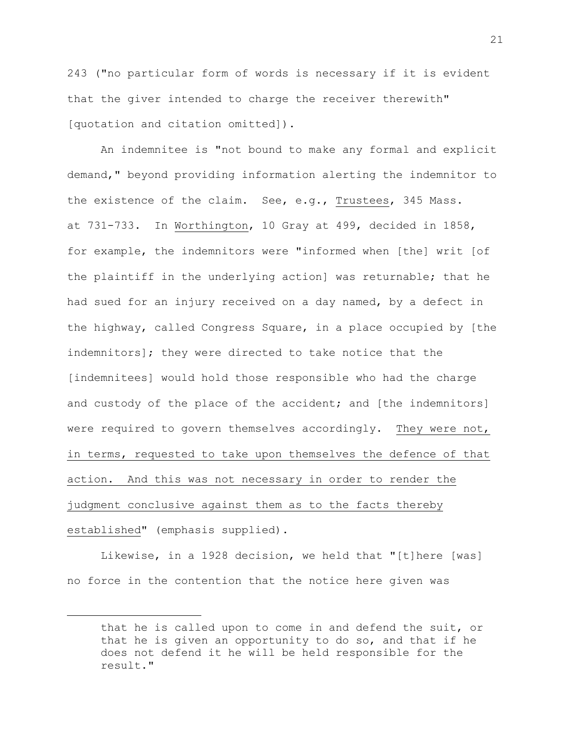243 ("no particular form of words is necessary if it is evident that the giver intended to charge the receiver therewith" [quotation and citation omitted]).

An indemnitee is "not bound to make any formal and explicit demand," beyond providing information alerting the indemnitor to the existence of the claim. See, e.g., Trustees, 345 Mass. at 731-733. In Worthington, 10 Gray at 499, decided in 1858, for example, the indemnitors were "informed when [the] writ [of the plaintiff in the underlying action] was returnable; that he had sued for an injury received on a day named, by a defect in the highway, called Congress Square, in a place occupied by [the indemnitors]; they were directed to take notice that the [indemnitees] would hold those responsible who had the charge and custody of the place of the accident; and [the indemnitors] were required to govern themselves accordingly. They were not, in terms, requested to take upon themselves the defence of that action. And this was not necessary in order to render the judgment conclusive against them as to the facts thereby established" (emphasis supplied).

Likewise, in a 1928 decision, we held that "[t]here [was] no force in the contention that the notice here given was

that he is called upon to come in and defend the suit, or that he is given an opportunity to do so, and that if he does not defend it he will be held responsible for the result."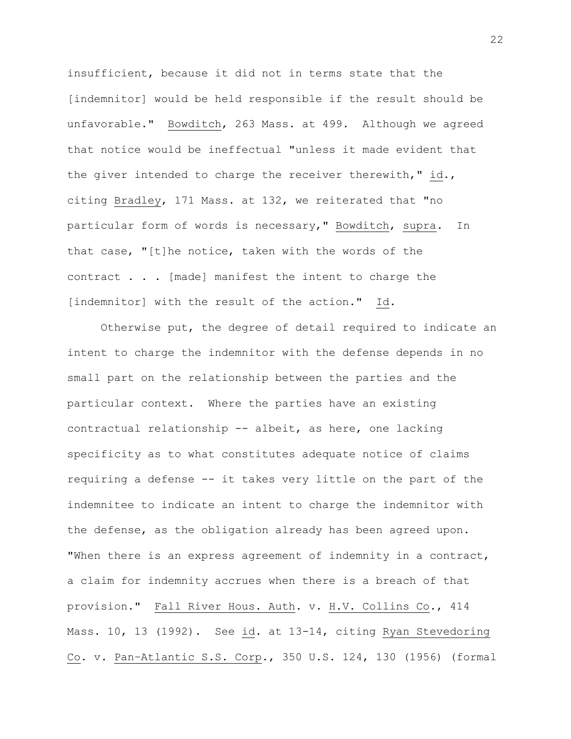insufficient, because it did not in terms state that the [indemnitor] would be held responsible if the result should be unfavorable." Bowditch, 263 Mass. at 499. Although we agreed that notice would be ineffectual "unless it made evident that the giver intended to charge the receiver therewith," id., citing Bradley, 171 Mass. at 132, we reiterated that "no particular form of words is necessary," Bowditch, supra. In that case, "[t]he notice, taken with the words of the contract . . . [made] manifest the intent to charge the [indemnitor] with the result of the action." Id.

Otherwise put, the degree of detail required to indicate an intent to charge the indemnitor with the defense depends in no small part on the relationship between the parties and the particular context. Where the parties have an existing contractual relationship -- albeit, as here, one lacking specificity as to what constitutes adequate notice of claims requiring a defense -- it takes very little on the part of the indemnitee to indicate an intent to charge the indemnitor with the defense, as the obligation already has been agreed upon. "When there is an express agreement of indemnity in a contract, a claim for indemnity accrues when there is a breach of that provision." Fall River Hous. Auth. v. H.V. Collins Co., 414 Mass. 10, 13 (1992). See id. at 13-14, citing Ryan Stevedoring Co. v. Pan–Atlantic S.S. Corp., 350 U.S. 124, 130 (1956) (formal

22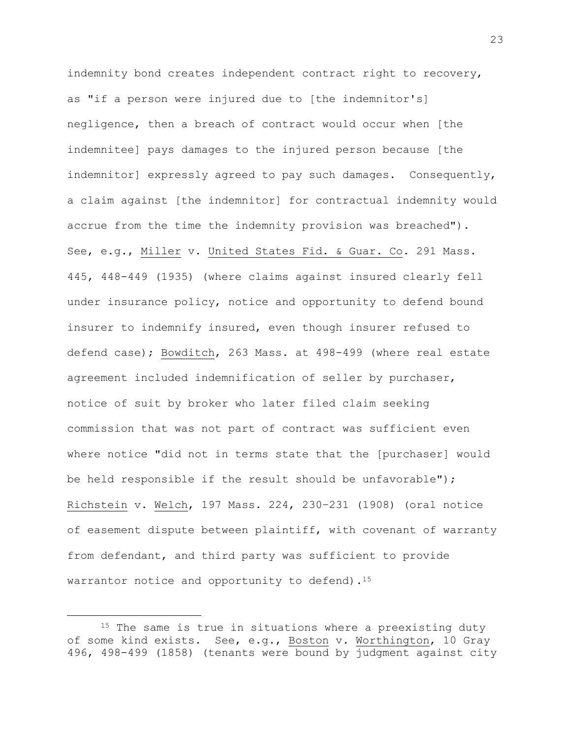indemnity bond creates independent contract right to recovery, as "if a person were injured due to [the indemnitor's] negligence, then a breach of contract would occur when [the indemnitee] pays damages to the injured person because [the indemnitor] expressly agreed to pay such damages. Consequently, a claim against [the indemnitor] for contractual indemnity would accrue from the time the indemnity provision was breached"). See, e.g., Miller v. United States Fid. & Guar. Co. 291 Mass. 445, 448-449 (1935) (where claims against insured clearly fell under insurance policy, notice and opportunity to defend bound insurer to indemnify insured, even though insurer refused to defend case); Bowditch, 263 Mass. at 498-499 (where real estate agreement included indemnification of seller by purchaser, notice of suit by broker who later filed claim seeking commission that was not part of contract was sufficient even where notice "did not in terms state that the [purchaser] would be held responsible if the result should be unfavorable"); Richstein v. Welch, 197 Mass. 224, 230–231 (1908) (oral notice of easement dispute between plaintiff, with covenant of warranty from defendant, and third party was sufficient to provide warrantor notice and opportunity to defend).<sup>15</sup>

<sup>&</sup>lt;sup>15</sup> The same is true in situations where a preexisting duty of some kind exists. See, e.g., Boston v. Worthington, 10 Gray 496, 498-499 (1858) (tenants were bound by judgment against city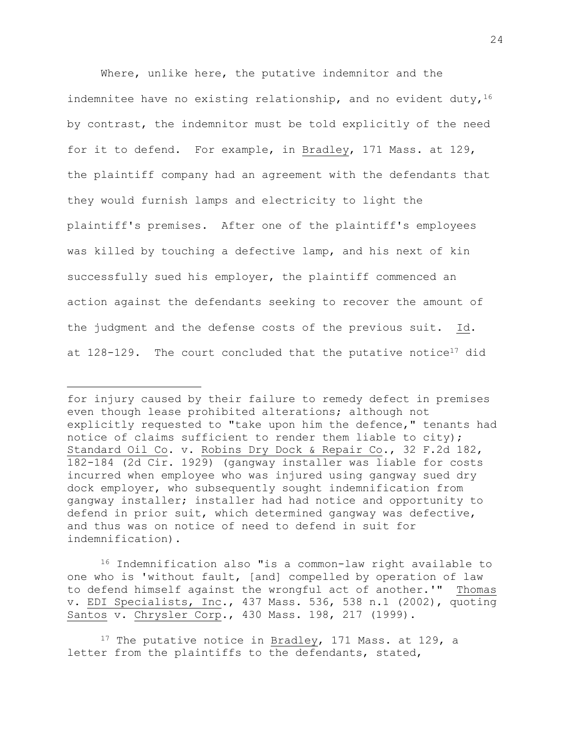Where, unlike here, the putative indemnitor and the indemnitee have no existing relationship, and no evident duty,  $16$ by contrast, the indemnitor must be told explicitly of the need for it to defend. For example, in Bradley, 171 Mass. at 129, the plaintiff company had an agreement with the defendants that they would furnish lamps and electricity to light the plaintiff's premises. After one of the plaintiff's employees was killed by touching a defective lamp, and his next of kin successfully sued his employer, the plaintiff commenced an action against the defendants seeking to recover the amount of the judgment and the defense costs of the previous suit. Id. at  $128-129$ . The court concluded that the putative notice<sup>17</sup> did

L,

<sup>16</sup> Indemnification also "is a common-law right available to one who is 'without fault, [and] compelled by operation of law to defend himself against the wrongful act of another.'" Thomas v. EDI Specialists, Inc., 437 Mass. 536, 538 n.1 (2002), quoting Santos v. Chrysler Corp., 430 Mass. 198, 217 (1999).

<sup>17</sup> The putative notice in Bradley, 171 Mass. at 129, a letter from the plaintiffs to the defendants, stated,

for injury caused by their failure to remedy defect in premises even though lease prohibited alterations; although not explicitly requested to "take upon him the defence," tenants had notice of claims sufficient to render them liable to city); Standard Oil Co. v. Robins Dry Dock & Repair Co., 32 F.2d 182, 182-184 (2d Cir. 1929) (gangway installer was liable for costs incurred when employee who was injured using gangway sued dry dock employer, who subsequently sought indemnification from gangway installer; installer had had notice and opportunity to defend in prior suit, which determined gangway was defective, and thus was on notice of need to defend in suit for indemnification).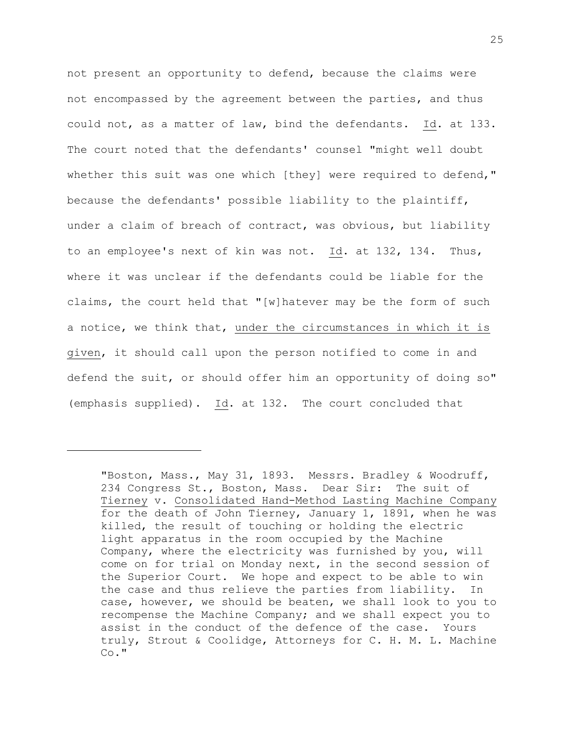not present an opportunity to defend, because the claims were not encompassed by the agreement between the parties, and thus could not, as a matter of law, bind the defendants. Id. at 133. The court noted that the defendants' counsel "might well doubt whether this suit was one which [they] were required to defend," because the defendants' possible liability to the plaintiff, under a claim of breach of contract, was obvious, but liability to an employee's next of kin was not. Id. at 132, 134. Thus, where it was unclear if the defendants could be liable for the claims, the court held that "[w]hatever may be the form of such a notice, we think that, under the circumstances in which it is given, it should call upon the person notified to come in and defend the suit, or should offer him an opportunity of doing so" (emphasis supplied). Id. at 132. The court concluded that

<sup>&</sup>quot;Boston, Mass., May 31, 1893. Messrs. Bradley & Woodruff, 234 Congress St., Boston, Mass. Dear Sir: The suit of Tierney v. Consolidated Hand-Method Lasting Machine Company for the death of John Tierney, January 1, 1891, when he was killed, the result of touching or holding the electric light apparatus in the room occupied by the Machine Company, where the electricity was furnished by you, will come on for trial on Monday next, in the second session of the Superior Court. We hope and expect to be able to win the case and thus relieve the parties from liability. In case, however, we should be beaten, we shall look to you to recompense the Machine Company; and we shall expect you to assist in the conduct of the defence of the case. Yours truly, Strout & Coolidge, Attorneys for C. H. M. L. Machine Co."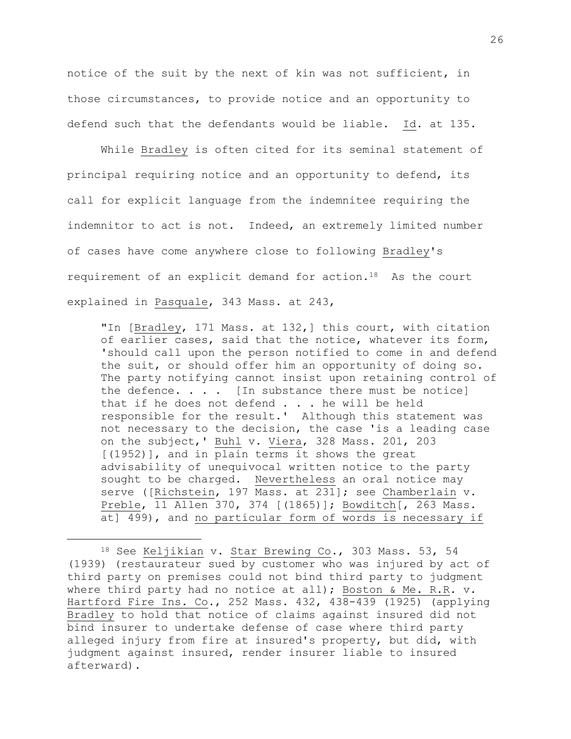notice of the suit by the next of kin was not sufficient, in those circumstances, to provide notice and an opportunity to defend such that the defendants would be liable. Id. at 135.

While Bradley is often cited for its seminal statement of principal requiring notice and an opportunity to defend, its call for explicit language from the indemnitee requiring the indemnitor to act is not. Indeed, an extremely limited number of cases have come anywhere close to following Bradley's requirement of an explicit demand for action.18 As the court explained in Pasquale, 343 Mass. at 243,

"In [Bradley, 171 Mass. at 132,] this court, with citation of earlier cases, said that the notice, whatever its form, 'should call upon the person notified to come in and defend the suit, or should offer him an opportunity of doing so. The party notifying cannot insist upon retaining control of the defence.  $\ldots$  . [In substance there must be notice] that if he does not defend . . . he will be held responsible for the result.' Although this statement was not necessary to the decision, the case 'is a leading case on the subject,' Buhl v. Viera, 328 Mass. 201, 203 [(1952)], and in plain terms it shows the great advisability of unequivocal written notice to the party sought to be charged. Nevertheless an oral notice may serve ([Richstein, 197 Mass. at 231]; see Chamberlain v. Preble, 11 Allen 370, 374 [(1865)]; Bowditch[, 263 Mass. at] 499), and no particular form of words is necessary if

<sup>18</sup> See Keljikian v. Star Brewing Co., 303 Mass. 53, 54 (1939) (restaurateur sued by customer who was injured by act of third party on premises could not bind third party to judgment where third party had no notice at all); Boston & Me. R.R.  $v$ . Hartford Fire Ins. Co., 252 Mass. 432, 438-439 (1925) (applying Bradley to hold that notice of claims against insured did not bind insurer to undertake defense of case where third party alleged injury from fire at insured's property, but did, with judgment against insured, render insurer liable to insured afterward).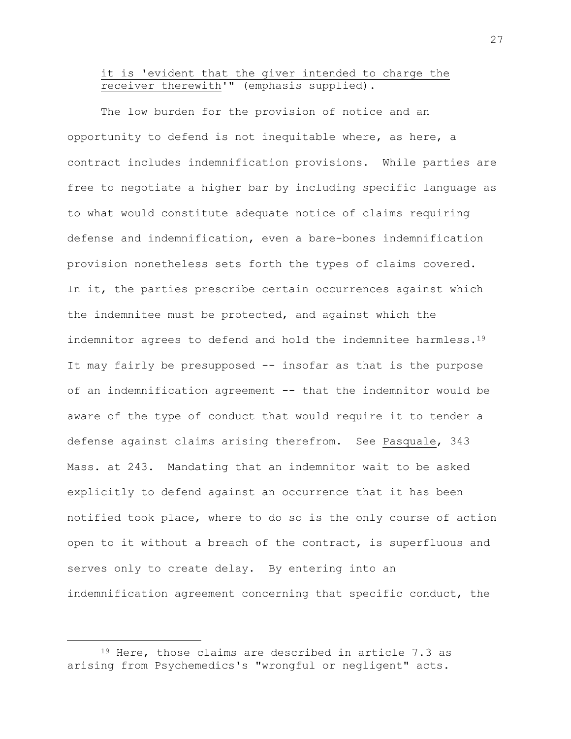## it is 'evident that the giver intended to charge the receiver therewith'**"** (emphasis supplied).

The low burden for the provision of notice and an opportunity to defend is not inequitable where, as here, a contract includes indemnification provisions. While parties are free to negotiate a higher bar by including specific language as to what would constitute adequate notice of claims requiring defense and indemnification, even a bare-bones indemnification provision nonetheless sets forth the types of claims covered. In it, the parties prescribe certain occurrences against which the indemnitee must be protected, and against which the indemnitor agrees to defend and hold the indemnitee harmless.<sup>19</sup> It may fairly be presupposed -- insofar as that is the purpose of an indemnification agreement -- that the indemnitor would be aware of the type of conduct that would require it to tender a defense against claims arising therefrom. See Pasquale, 343 Mass. at 243. Mandating that an indemnitor wait to be asked explicitly to defend against an occurrence that it has been notified took place, where to do so is the only course of action open to it without a breach of the contract, is superfluous and serves only to create delay. By entering into an indemnification agreement concerning that specific conduct, the

<sup>19</sup> Here, those claims are described in article 7.3 as arising from Psychemedics's "wrongful or negligent" acts.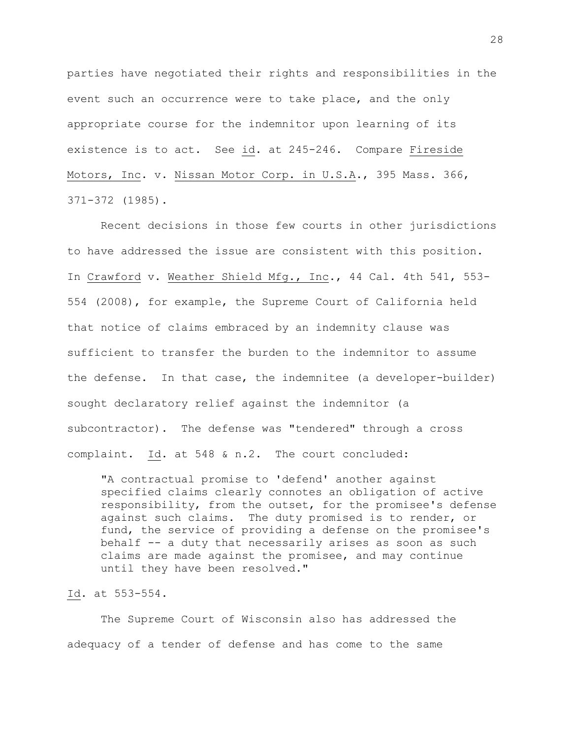parties have negotiated their rights and responsibilities in the event such an occurrence were to take place, and the only appropriate course for the indemnitor upon learning of its existence is to act. See id. at 245-246. Compare Fireside Motors, Inc. v. Nissan Motor Corp. in U.S.A., 395 Mass. 366, 371-372 (1985).

Recent decisions in those few courts in other jurisdictions to have addressed the issue are consistent with this position. In Crawford v. Weather Shield Mfg., Inc., 44 Cal. 4th 541, 553- 554 (2008), for example, the Supreme Court of California held that notice of claims embraced by an indemnity clause was sufficient to transfer the burden to the indemnitor to assume the defense. In that case, the indemnitee (a developer-builder) sought declaratory relief against the indemnitor (a subcontractor). The defense was "tendered" through a cross complaint. Id. at 548 & n.2. The court concluded:

"A contractual promise to 'defend' another against specified claims clearly connotes an obligation of active responsibility, from the outset, for the promisee's defense against such claims. The duty promised is to render, or fund, the service of providing a defense on the promisee's behalf -- a duty that necessarily arises as soon as such claims are made against the promisee, and may continue until they have been resolved."

Id. at 553-554.

The Supreme Court of Wisconsin also has addressed the adequacy of a tender of defense and has come to the same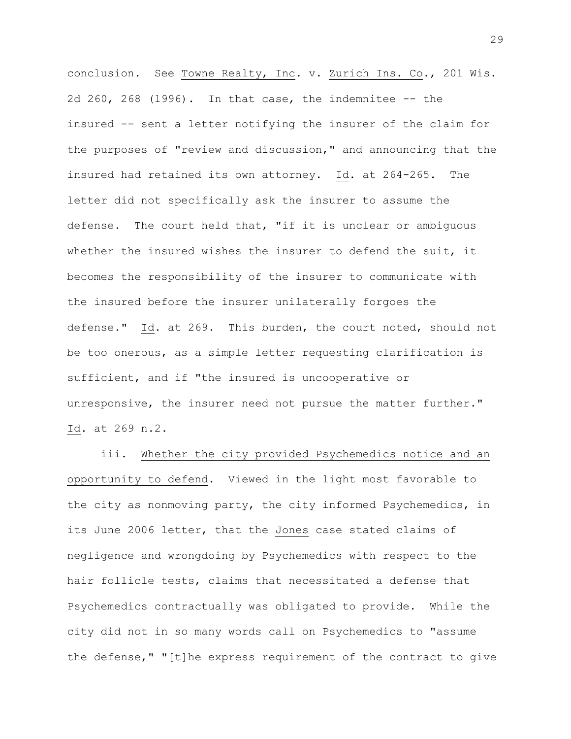conclusion. See Towne Realty, Inc. v. Zurich Ins. Co., 201 Wis. 2d 260, 268 (1996). In that case, the indemnitee -- the insured -- sent a letter notifying the insurer of the claim for the purposes of "review and discussion," and announcing that the insured had retained its own attorney. Id. at 264-265. The letter did not specifically ask the insurer to assume the defense. The court held that, "if it is unclear or ambiguous whether the insured wishes the insurer to defend the suit, it becomes the responsibility of the insurer to communicate with the insured before the insurer unilaterally forgoes the defense." Id. at 269. This burden, the court noted, should not be too onerous, as a simple letter requesting clarification is sufficient, and if "the insured is uncooperative or unresponsive, the insurer need not pursue the matter further." Id. at 269 n.2.

iii. Whether the city provided Psychemedics notice and an opportunity to defend. Viewed in the light most favorable to the city as nonmoving party, the city informed Psychemedics, in its June 2006 letter, that the Jones case stated claims of negligence and wrongdoing by Psychemedics with respect to the hair follicle tests, claims that necessitated a defense that Psychemedics contractually was obligated to provide. While the city did not in so many words call on Psychemedics to "assume the defense," "[t]he express requirement of the contract to give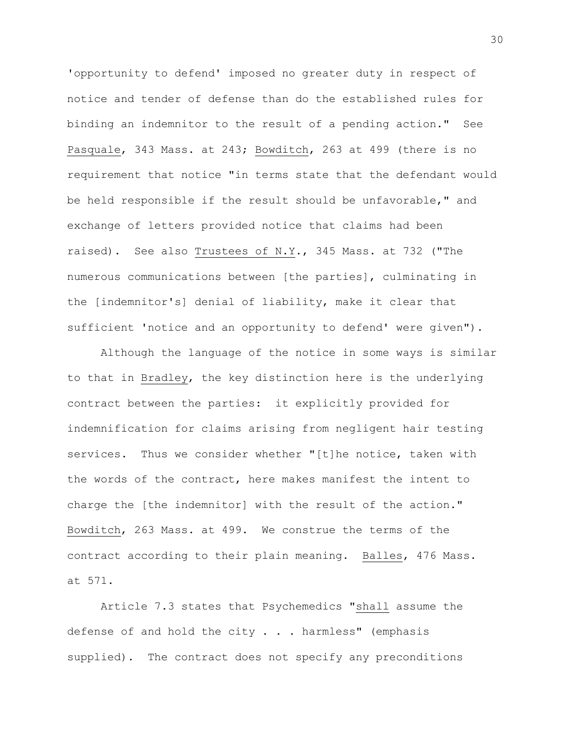'opportunity to defend' imposed no greater duty in respect of notice and tender of defense than do the established rules for binding an indemnitor to the result of a pending action." See Pasquale, 343 Mass. at 243; Bowditch, 263 at 499 (there is no requirement that notice "in terms state that the defendant would be held responsible if the result should be unfavorable," and exchange of letters provided notice that claims had been raised). See also Trustees of N.Y., 345 Mass. at 732 ("The numerous communications between [the parties], culminating in the [indemnitor's] denial of liability, make it clear that sufficient 'notice and an opportunity to defend' were given").

Although the language of the notice in some ways is similar to that in Bradley, the key distinction here is the underlying contract between the parties: it explicitly provided for indemnification for claims arising from negligent hair testing services. Thus we consider whether "[t]he notice, taken with the words of the contract, here makes manifest the intent to charge the [the indemnitor] with the result of the action." Bowditch, 263 Mass. at 499. We construe the terms of the contract according to their plain meaning. Balles, 476 Mass. at 571.

Article 7.3 states that Psychemedics "shall assume the defense of and hold the city  $\ldots$  harmless" (emphasis supplied). The contract does not specify any preconditions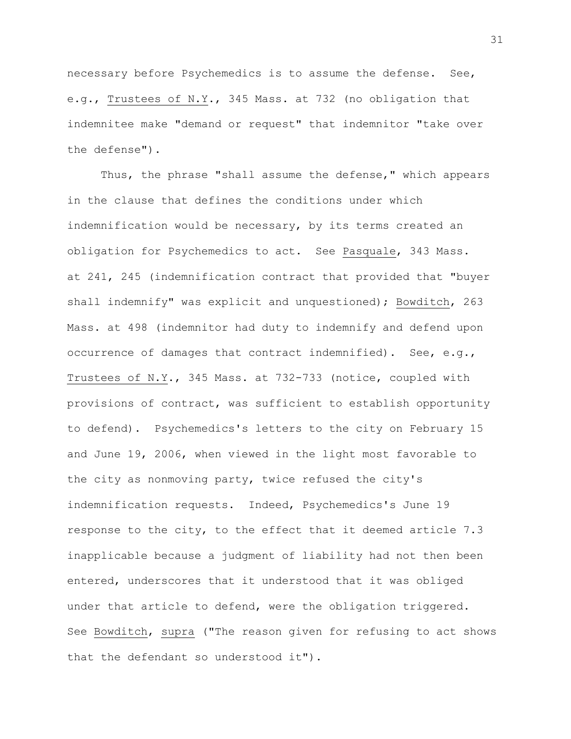necessary before Psychemedics is to assume the defense. See, e.g., Trustees of N.Y., 345 Mass. at 732 (no obligation that indemnitee make "demand or request" that indemnitor "take over the defense").

Thus, the phrase "shall assume the defense," which appears in the clause that defines the conditions under which indemnification would be necessary, by its terms created an obligation for Psychemedics to act. See Pasquale, 343 Mass. at 241, 245 (indemnification contract that provided that "buyer shall indemnify" was explicit and unquestioned); Bowditch, 263 Mass. at 498 (indemnitor had duty to indemnify and defend upon occurrence of damages that contract indemnified). See, e.g., Trustees of N.Y., 345 Mass. at 732-733 (notice, coupled with provisions of contract, was sufficient to establish opportunity to defend). Psychemedics's letters to the city on February 15 and June 19, 2006, when viewed in the light most favorable to the city as nonmoving party, twice refused the city's indemnification requests. Indeed, Psychemedics's June 19 response to the city, to the effect that it deemed article 7.3 inapplicable because a judgment of liability had not then been entered, underscores that it understood that it was obliged under that article to defend, were the obligation triggered. See Bowditch, supra ("The reason given for refusing to act shows that the defendant so understood it").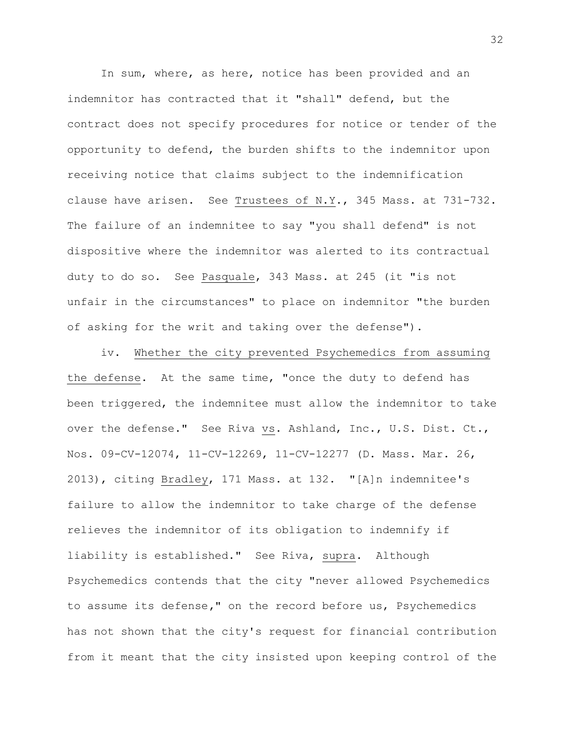In sum, where, as here, notice has been provided and an indemnitor has contracted that it "shall" defend, but the contract does not specify procedures for notice or tender of the opportunity to defend, the burden shifts to the indemnitor upon receiving notice that claims subject to the indemnification clause have arisen. See Trustees of N.Y., 345 Mass. at 731-732. The failure of an indemnitee to say "you shall defend" is not dispositive where the indemnitor was alerted to its contractual duty to do so. See Pasquale, 343 Mass. at 245 (it "is not unfair in the circumstances" to place on indemnitor "the burden of asking for the writ and taking over the defense")**.**

iv. Whether the city prevented Psychemedics from assuming the defense. At the same time, "once the duty to defend has been triggered, the indemnitee must allow the indemnitor to take over the defense." See Riva vs. Ashland, Inc., U.S. Dist. Ct., Nos. 09-CV-12074, 11-CV-12269, 11-CV-12277 (D. Mass. Mar. 26, 2013), citing Bradley, 171 Mass. at 132. "[A]n indemnitee's failure to allow the indemnitor to take charge of the defense relieves the indemnitor of its obligation to indemnify if liability is established." See Riva, supra. Although Psychemedics contends that the city "never allowed Psychemedics to assume its defense**,"** on the record before us, Psychemedics has not shown that the city's request for financial contribution from it meant that the city insisted upon keeping control of the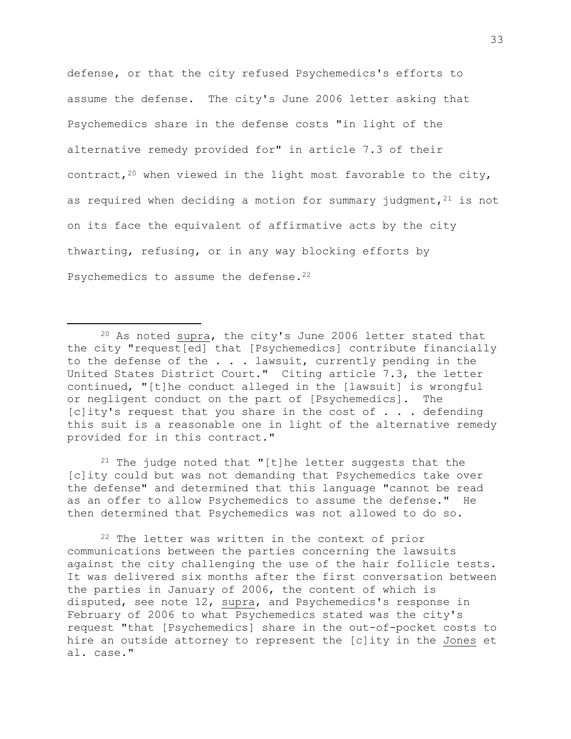defense, or that the city refused Psychemedics's efforts to assume the defense. The city's June 2006 letter asking that Psychemedics share in the defense costs "in light of the alternative remedy provided for" in article 7.3 of their contract,  $20$  when viewed in the light most favorable to the city, as required when deciding a motion for summary judgment,  $21$  is not on its face the equivalent of affirmative acts by the city thwarting, refusing, or in any way blocking efforts by Psychemedics to assume the defense.<sup>22</sup>

a<br>B

<sup>21</sup> The judge noted that "[t]he letter suggests that the [c]ity could but was not demanding that Psychemedics take over the defense" and determined that this language "cannot be read as an offer to allow Psychemedics to assume the defense." He then determined that Psychemedics was not allowed to do so.

<sup>22</sup> The letter was written in the context of prior communications between the parties concerning the lawsuits against the city challenging the use of the hair follicle tests. It was delivered six months after the first conversation between the parties in January of 2006, the content of which is disputed, see note 12, supra, and Psychemedics's response in February of 2006 to what Psychemedics stated was the city's request "that [Psychemedics] share in the out-of-pocket costs to hire an outside attorney to represent the [c]ity in the Jones et al. case."

<sup>20</sup> As noted supra, the city's June 2006 letter stated that the city "request[ed] that [Psychemedics] contribute financially to the defense of the . . . lawsuit, currently pending in the United States District Court." Citing article 7.3, the letter continued, "[t]he conduct alleged in the [lawsuit] is wrongful or negligent conduct on the part of [Psychemedics]. The [c]ity's request that you share in the cost of . . . defending this suit is a reasonable one in light of the alternative remedy provided for in this contract."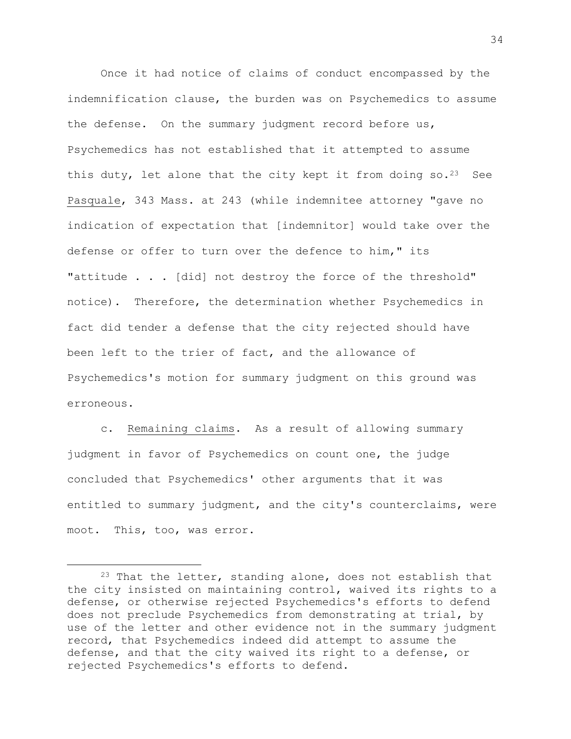Once it had notice of claims of conduct encompassed by the indemnification clause, the burden was on Psychemedics to assume the defense. On the summary judgment record before us, Psychemedics has not established that it attempted to assume this duty, let alone that the city kept it from doing so.<sup>23</sup> See Pasquale, 343 Mass. at 243 (while indemnitee attorney "gave no indication of expectation that [indemnitor] would take over the defense or offer to turn over the defence to him," its "attitude . . . [did] not destroy the force of the threshold" notice). Therefore, the determination whether Psychemedics in fact did tender a defense that the city rejected should have been left to the trier of fact, and the allowance of Psychemedics's motion for summary judgment on this ground was erroneous.

c. Remaining claims. As a result of allowing summary judgment in favor of Psychemedics on count one, the judge concluded that Psychemedics' other arguments that it was entitled to summary judgment, and the city's counterclaims, were moot. This, too, was error.

 $23$  That the letter, standing alone, does not establish that the city insisted on maintaining control, waived its rights to a defense, or otherwise rejected Psychemedics's efforts to defend does not preclude Psychemedics from demonstrating at trial, by use of the letter and other evidence not in the summary judgment record, that Psychemedics indeed did attempt to assume the defense, and that the city waived its right to a defense, or rejected Psychemedics's efforts to defend.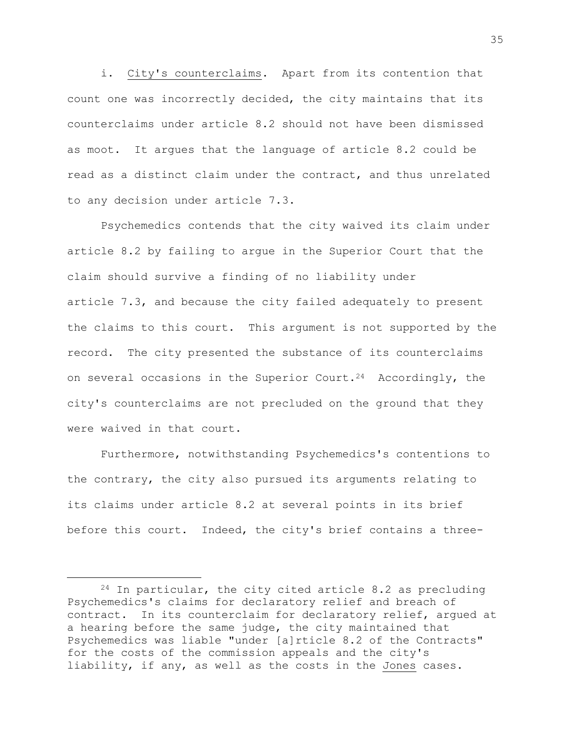i. City's counterclaims. Apart from its contention that count one was incorrectly decided, the city maintains that its counterclaims under article 8.2 should not have been dismissed as moot. It argues that the language of article 8.2 could be read as a distinct claim under the contract, and thus unrelated to any decision under article 7.3.

Psychemedics contends that the city waived its claim under article 8.2 by failing to argue in the Superior Court that the claim should survive a finding of no liability under article 7.3, and because the city failed adequately to present the claims to this court. This argument is not supported by the record. The city presented the substance of its counterclaims on several occasions in the Superior Court.<sup>24</sup> Accordingly, the city's counterclaims are not precluded on the ground that they were waived in that court.

Furthermore, notwithstanding Psychemedics's contentions to the contrary, the city also pursued its arguments relating to its claims under article 8.2 at several points in its brief before this court. Indeed, the city's brief contains a three-

 $24$  In particular, the city cited article 8.2 as precluding Psychemedics's claims for declaratory relief and breach of contract. In its counterclaim for declaratory relief, argued at a hearing before the same judge, the city maintained that Psychemedics was liable "under [a]rticle 8.2 of the Contracts" for the costs of the commission appeals and the city's liability, if any, as well as the costs in the Jones cases.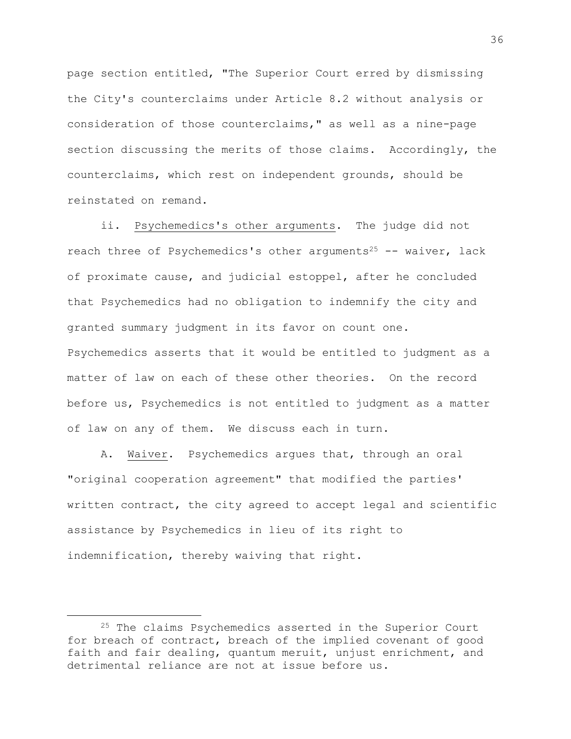page section entitled, "The Superior Court erred by dismissing the City's counterclaims under Article 8.2 without analysis or consideration of those counterclaims," as well as a nine-page section discussing the merits of those claims. Accordingly, the counterclaims, which rest on independent grounds, should be reinstated on remand.

ii. Psychemedics's other arguments. The judge did not reach three of Psychemedics's other arguments<sup>25</sup> -- waiver, lack of proximate cause, and judicial estoppel, after he concluded that Psychemedics had no obligation to indemnify the city and granted summary judgment in its favor on count one. Psychemedics asserts that it would be entitled to judgment as a matter of law on each of these other theories. On the record before us, Psychemedics is not entitled to judgment as a matter of law on any of them. We discuss each in turn.

A. Waiver. Psychemedics argues that, through an oral "original cooperation agreement" that modified the parties' written contract, the city agreed to accept legal and scientific assistance by Psychemedics in lieu of its right to indemnification, thereby waiving that right.

<sup>&</sup>lt;sup>25</sup> The claims Psychemedics asserted in the Superior Court for breach of contract, breach of the implied covenant of good faith and fair dealing, quantum meruit, unjust enrichment, and detrimental reliance are not at issue before us.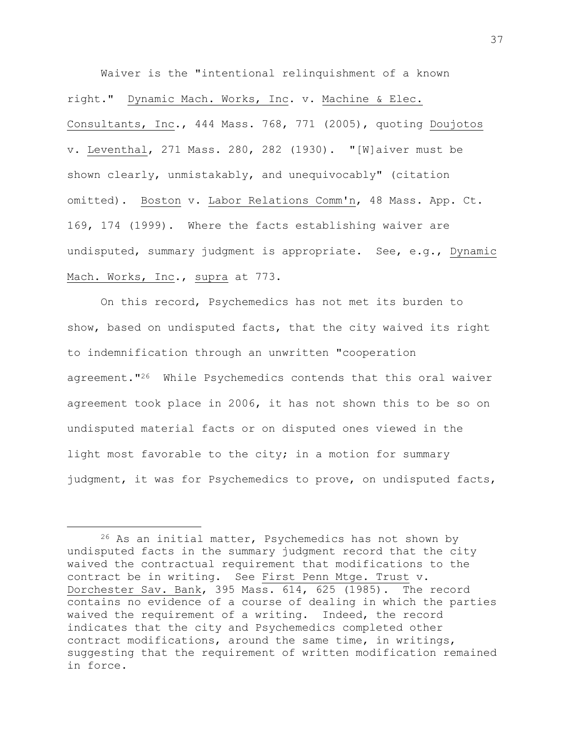Waiver is the "intentional relinquishment of a known right." Dynamic Mach. Works, Inc. v. Machine & Elec. Consultants, Inc., 444 Mass. 768, 771 (2005), quoting Doujotos v. Leventhal, 271 Mass. 280, 282 (1930). "[W]aiver must be shown clearly, unmistakably, and unequivocably" (citation omitted). Boston v. Labor Relations Comm'n, 48 Mass. App. Ct. 169, 174 (1999). Where the facts establishing waiver are undisputed, summary judgment is appropriate. See, e.g., Dynamic Mach. Works, Inc., supra at 773.

On this record, Psychemedics has not met its burden to show, based on undisputed facts, that the city waived its right to indemnification through an unwritten "cooperation agreement."<sup>26</sup> While Psychemedics contends that this oral waiver agreement took place in 2006, it has not shown this to be so on undisputed material facts or on disputed ones viewed in the light most favorable to the city; in a motion for summary judgment, it was for Psychemedics to prove, on undisputed facts,

<sup>26</sup> As an initial matter, Psychemedics has not shown by undisputed facts in the summary judgment record that the city waived the contractual requirement that modifications to the contract be in writing. See First Penn Mtge. Trust v. Dorchester Sav. Bank, 395 Mass. 614, 625 (1985). The record contains no evidence of a course of dealing in which the parties waived the requirement of a writing. Indeed, the record indicates that the city and Psychemedics completed other contract modifications, around the same time, in writings, suggesting that the requirement of written modification remained in force.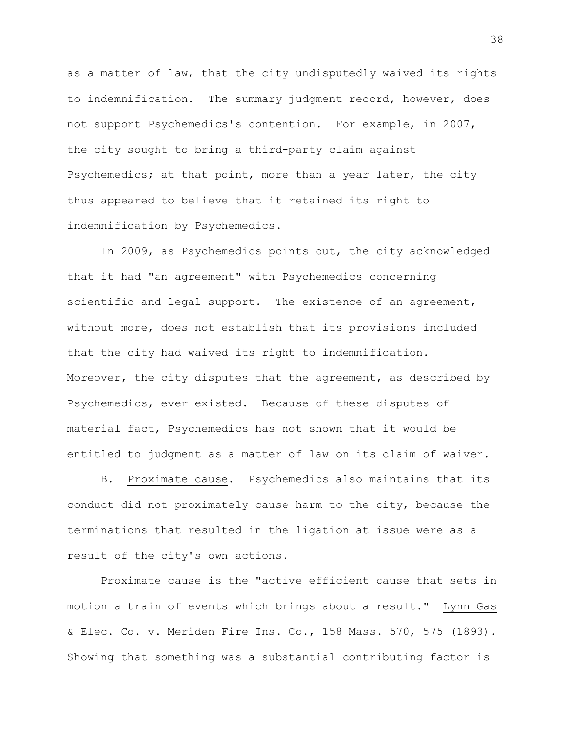as a matter of law, that the city undisputedly waived its rights to indemnification. The summary judgment record, however, does not support Psychemedics's contention. For example, in 2007, the city sought to bring a third-party claim against Psychemedics; at that point, more than a year later, the city thus appeared to believe that it retained its right to indemnification by Psychemedics.

In 2009, as Psychemedics points out, the city acknowledged that it had "an agreement" with Psychemedics concerning scientific and legal support. The existence of an agreement, without more, does not establish that its provisions included that the city had waived its right to indemnification. Moreover, the city disputes that the agreement, as described by Psychemedics, ever existed. Because of these disputes of material fact, Psychemedics has not shown that it would be entitled to judgment as a matter of law on its claim of waiver.

B. Proximate cause. Psychemedics also maintains that its conduct did not proximately cause harm to the city, because the terminations that resulted in the ligation at issue were as a result of the city's own actions.

Proximate cause is the "active efficient cause that sets in motion a train of events which brings about a result." Lynn Gas & Elec. Co. v. Meriden Fire Ins. Co., 158 Mass. 570, 575 (1893). Showing that something was a substantial contributing factor is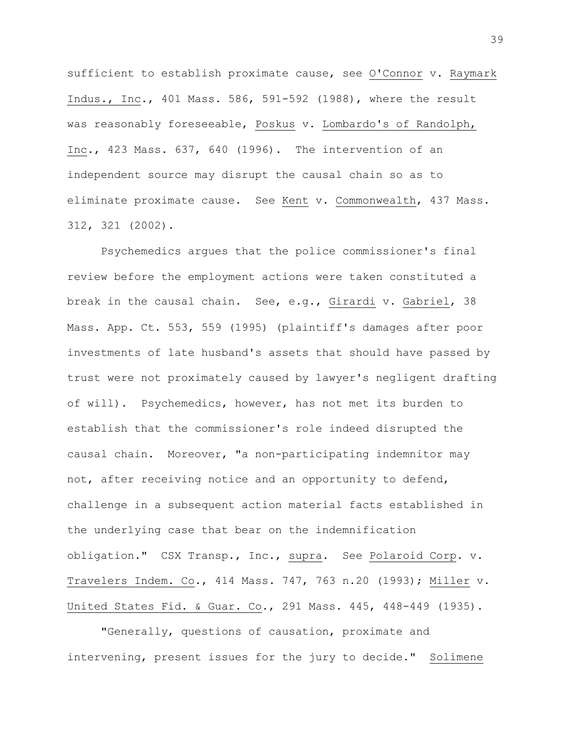sufficient to establish proximate cause, see O'Connor v. Raymark Indus., Inc., 401 Mass. 586, 591-592 (1988), where the result was reasonably foreseeable, Poskus v. Lombardo's of Randolph, Inc., 423 Mass. 637, 640 (1996). The intervention of an independent source may disrupt the causal chain so as to eliminate proximate cause. See Kent v. Commonwealth, 437 Mass. 312, 321 (2002).

Psychemedics argues that the police commissioner's final review before the employment actions were taken constituted a break in the causal chain**.** See, e.g., Girardi v. Gabriel, 38 Mass. App. Ct. 553, 559 (1995) (plaintiff's damages after poor investments of late husband's assets that should have passed by trust were not proximately caused by lawyer's negligent drafting of will). Psychemedics, however, has not met its burden to establish that the commissioner's role indeed disrupted the causal chain. Moreover, "a non-participating indemnitor may not, after receiving notice and an opportunity to defend, challenge in a subsequent action material facts established in the underlying case that bear on the indemnification obligation." CSX Transp., Inc., supra. See Polaroid Corp. v. Travelers Indem. Co., 414 Mass. 747, 763 n.20 (1993); Miller v. United States Fid. & Guar. Co., 291 Mass. 445, 448-449 (1935).

"Generally, questions of causation, proximate and intervening, present issues for the jury to decide." Solimene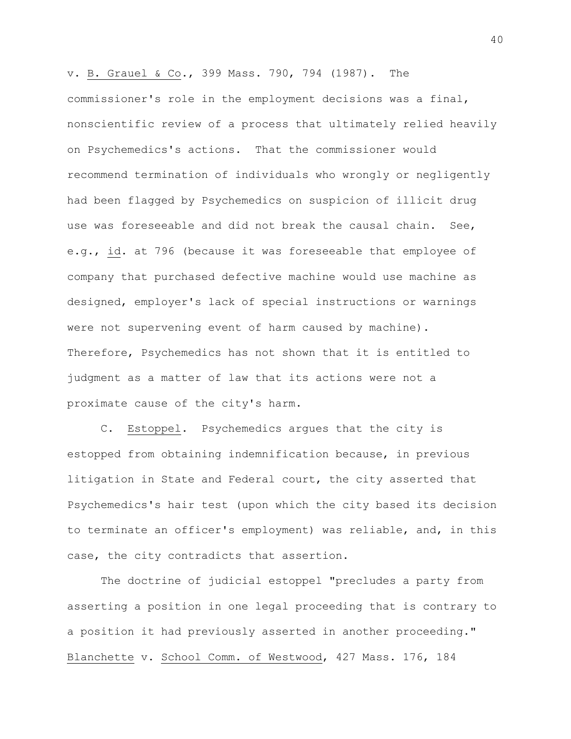v. B. Grauel & Co., 399 Mass. 790, 794 (1987). The commissioner's role in the employment decisions was a final, nonscientific review of a process that ultimately relied heavily on Psychemedics's actions. That the commissioner would recommend termination of individuals who wrongly or negligently had been flagged by Psychemedics on suspicion of illicit drug use was foreseeable and did not break the causal chain. See, e.g., id. at 796 (because it was foreseeable that employee of company that purchased defective machine would use machine as designed, employer's lack of special instructions or warnings were not supervening event of harm caused by machine). Therefore, Psychemedics has not shown that it is entitled to judgment as a matter of law that its actions were not a proximate cause of the city's harm.

C. Estoppel. Psychemedics argues that the city is estopped from obtaining indemnification because, in previous litigation in State and Federal court, the city asserted that Psychemedics's hair test (upon which the city based its decision to terminate an officer's employment) was reliable, and, in this case, the city contradicts that assertion.

The doctrine of judicial estoppel "precludes a party from asserting a position in one legal proceeding that is contrary to a position it had previously asserted in another proceeding." Blanchette v. School Comm. of Westwood, 427 Mass. 176, 184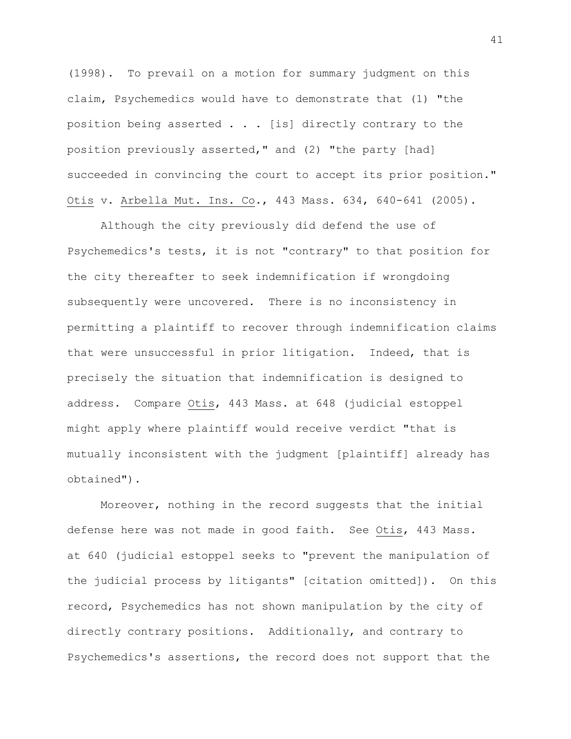(1998). To prevail on a motion for summary judgment on this claim, Psychemedics would have to demonstrate that (1) "the position being asserted . . . [is] directly contrary to the position previously asserted," and (2) "the party [had] succeeded in convincing the court to accept its prior position." Otis v. Arbella Mut. Ins. Co., 443 Mass. 634, 640-641 (2005).

Although the city previously did defend the use of Psychemedics's tests, it is not "contrary" to that position for the city thereafter to seek indemnification if wrongdoing subsequently were uncovered. There is no inconsistency in permitting a plaintiff to recover through indemnification claims that were unsuccessful in prior litigation. Indeed, that is precisely the situation that indemnification is designed to address. Compare Otis, 443 Mass. at 648 (judicial estoppel might apply where plaintiff would receive verdict "that is mutually inconsistent with the judgment [plaintiff] already has obtained").

Moreover, nothing in the record suggests that the initial defense here was not made in good faith. See Otis, 443 Mass. at 640 (judicial estoppel seeks to "prevent the manipulation of the judicial process by litigants" [citation omitted]). On this record, Psychemedics has not shown manipulation by the city of directly contrary positions. Additionally, and contrary to Psychemedics's assertions, the record does not support that the